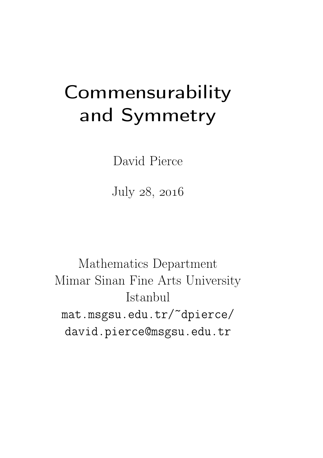# **Commensurability** and Symmetry

David Pierce

July 28, 2016

Mathematics Department Mimar Sinan Fine Arts University Istanbul mat.msgsu.edu.tr/~dpierce/ david.pierce@msgsu.edu.tr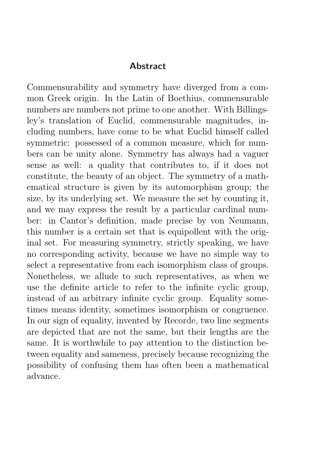#### **Abstract**

Commensurability and symmetry have diverged from a common Greek origin. In the Latin of Boethius, commensurable numbers are numbers not prime to one another. With Billingsley's translation of Euclid, commensurable magnitudes, including numbers, have come to be what Euclid himself called symmetric: possessed of a common measure, which for numbers can be unity alone. Symmetry has always had a vaguer sense as well: a quality that contributes to, if it does not constitute, the beauty of an object. The symmetry of a mathematical structure is given by its automorphism group; the size, by its underlying set. We measure the set by counting it, and we may express the result by a particular cardinal number: in Cantor's definition, made precise by von Neumann, this number is a certain set that is equipollent with the original set. For measuring symmetry, strictly speaking, we have no corresponding activity, because we have no simple way to select a representative from each isomorphism class of groups. Nonetheless, we allude to such representatives, as when we use the definite article to refer to the infinite cyclic group, instead of an arbitrary infinite cyclic group. Equality sometimes means identity, sometimes isomorphism or congruence. In our sign of equality, invented by Recorde, two line segments are depicted that are not the same, but their lengths are the same. It is worthwhile to pay attention to the distinction between equality and sameness, precisely because recognizing the possibility of confusing them has often been a mathematical advance.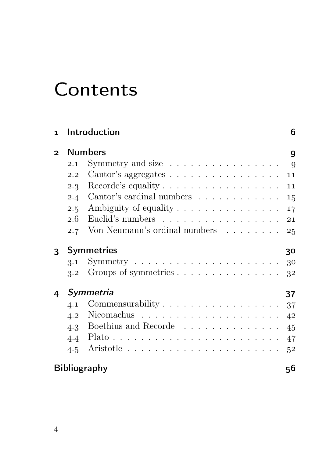## **Contents**

| $\mathbf{1}$ |               | Introduction                                                    | 6              |  |  |  |  |  |
|--------------|---------------|-----------------------------------------------------------------|----------------|--|--|--|--|--|
| $\mathbf{2}$ |               | <b>Numbers</b>                                                  |                |  |  |  |  |  |
|              | 2.1           | Symmetry and size $\dots \dots \dots \dots \dots \dots$ 9       |                |  |  |  |  |  |
|              | 2.2           | Cantor's aggregates $\dots \dots \dots \dots \dots \dots$       | 11             |  |  |  |  |  |
|              | $2.3 -$       | Recorde's equality $\dots \dots \dots \dots \dots \dots$        | 11             |  |  |  |  |  |
|              |               | 2.4 Cantor's cardinal numbers                                   | 15             |  |  |  |  |  |
|              | $2.5^{\circ}$ | Ambiguity of equality                                           | 17             |  |  |  |  |  |
|              | 2.6           | Euclid's numbers                                                | 21             |  |  |  |  |  |
|              | 2.7           | Von Neumann's ordinal numbers                                   | 25             |  |  |  |  |  |
| 3            |               | <b>Symmetries</b>                                               | 30             |  |  |  |  |  |
|              | 3.1           |                                                                 |                |  |  |  |  |  |
|              |               | 3.2 Groups of symmetries                                        | 32             |  |  |  |  |  |
| 4            |               | Symmetria                                                       | 37             |  |  |  |  |  |
|              | 4.1           | Commensurability $\ldots \ldots \ldots \ldots \ldots \ldots 37$ |                |  |  |  |  |  |
|              | 4.2           |                                                                 | 4 <sup>2</sup> |  |  |  |  |  |
|              |               | 4.3 Boethius and Recorde                                        | 45             |  |  |  |  |  |
|              | 4.4           | Plato                                                           | 47             |  |  |  |  |  |
|              | 4.5           |                                                                 | 5 <sup>2</sup> |  |  |  |  |  |
|              |               | <b>Bibliography</b>                                             | 56             |  |  |  |  |  |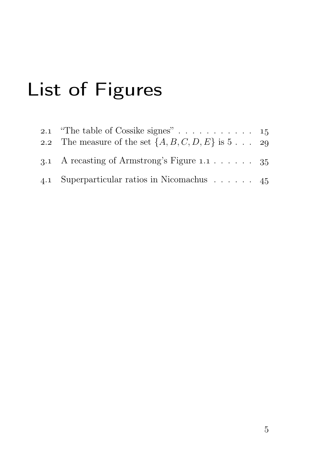# List of Figures

| 2.2 The measure of the set $\{A, B, C, D, E\}$ is 5 29 |  |
|--------------------------------------------------------|--|
| 3.1 A recasting of Armstrong's Figure 1.1 $\ldots$ 35  |  |
| 4.1 Superparticular ratios in Nicomachus 45            |  |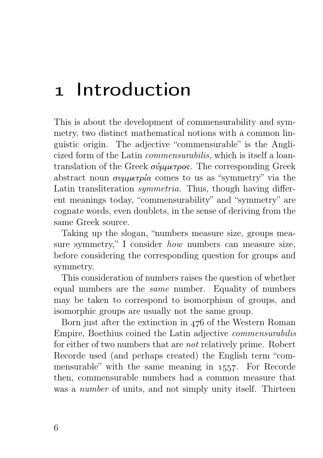## 1 Introduction

This is about the development of commensurability and symmetry, two distinct mathematical notions with a common linguistic origin. The adjective "commensurable" is the Anglicized form of the Latin commensurabilis, which is itself a loantranslation of the Greek σύμμετρος. The corresponding Greek abstract noun συμμετρία comes to us as "symmetry" via the Latin transliteration symmetria. Thus, though having different meanings today, "commensurability" and "symmetry" are cognate words, even doublets, in the sense of deriving from the same Greek source.

Taking up the slogan, "numbers measure size, groups measure symmetry," I consider how numbers can measure size, before considering the corresponding question for groups and symmetry.

This consideration of numbers raises the question of whether equal numbers are the same number. Equality of numbers may be taken to correspond to isomorphism of groups, and isomorphic groups are usually not the same group.

Born just after the extinction in  $476$  of the Western Roman Empire, Boethius coined the Latin adjective commensurabilis for either of two numbers that are not relatively prime. Robert Recorde used (and perhaps created) the English term "commensurable" with the same meaning in 1557. For Recorde then, commensurable numbers had a common measure that was a *number* of units, and not simply unity itself. Thirteen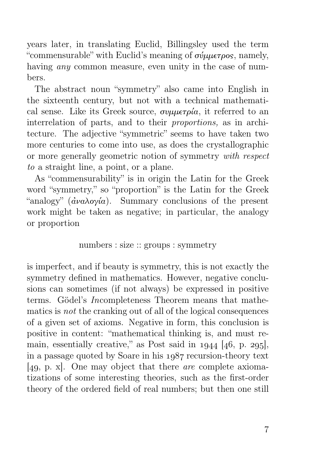years later, in translating Euclid, Billingsley used the term "commensurable" with Euclid's meaning of  $\sigma \psi \mu \epsilon \tau \rho \rho s$ , namely, having *any* common measure, even unity in the case of numbers.

The abstract noun "symmetry" also came into English in the sixteenth century, but not with a technical mathematical sense. Like its Greek source,  $\sigma$ υμμετρία, it referred to an interrelation of parts, and to their proportions, as in architecture. The adjective "symmetric" seems to have taken two more centuries to come into use, as does the crystallographic or more generally geometric notion of symmetry with respect to a straight line, a point, or a plane.

As "commensurability" is in origin the Latin for the Greek word "symmetry," so "proportion" is the Latin for the Greek "analogy" ( $\dot{\alpha}$ ναλογία). Summary conclusions of the present work might be taken as negative; in particular, the analogy or proportion

numbers : size :: groups : symmetry

is imperfect, and if beauty is symmetry, this is not exactly the symmetry defined in mathematics. However, negative conclusions can sometimes (if not always) be expressed in positive terms. Gödel's Incompleteness Theorem means that mathematics is not the cranking out of all of the logical consequences of a given set of axioms. Negative in form, this conclusion is positive in content: "mathematical thinking is, and must remain, essentially creative," as Post said in  $1944$  [ $46$ , p. 295], in a passage quoted by Soare in his  $1987$  recursion-theory text [49, p. x]. One may object that there *are* complete axiomatizations of some interesting theories, such as the first-order theory of the ordered field of real numbers; but then one still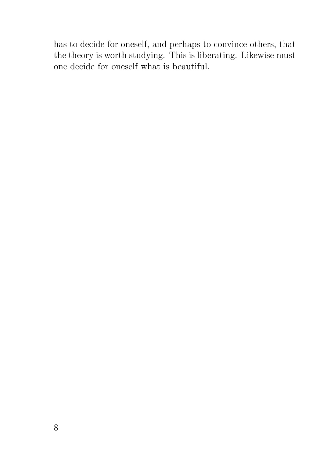has to decide for oneself, and perhaps to convince others, that the theory is worth studying. This is liberating. Likewise must one decide for oneself what is beautiful.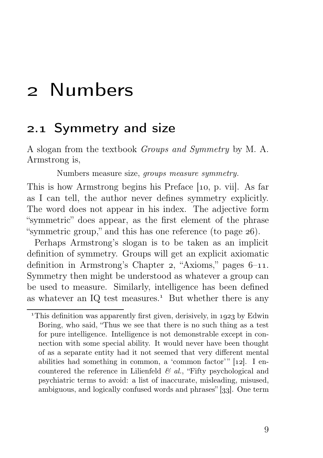### 2 Numbers

#### 2.1 Symmetry and size

A slogan from the textbook Groups and Symmetry by M. A. Armstrong is,

Numbers measure size, groups measure symmetry.

This is how Armstrong begins his Preface  $[10, p, vii]$ . As far as I can tell, the author never defines symmetry explicitly. The word does not appear in his index. The adjective form "symmetric" does appear, as the first element of the phrase "symmetric group," and this has one reference (to page  $26$ ).

Perhaps Armstrong's slogan is to be taken as an implicit definition of symmetry. Groups will get an explicit axiomatic definition in Armstrong's Chapter 2, "Axioms," pages  $6-11$ . Symmetry then might be understood as whatever a group can be used to measure. Similarly, intelligence has been defined as whatever an IQ test measures.<sup> $1$ </sup> But whether there is any

<sup>&</sup>lt;sup>1</sup>This definition was apparently first given, derisively, in  $1923$  by Edwin Boring, who said, "Thus we see that there is no such thing as a test for pure intelligence. Intelligence is not demonstrable except in connection with some special ability. It would never have been thought of as a separate entity had it not seemed that very different mental abilities had something in common, a 'common factor'"  $[12]$ . I encountered the reference in Lilienfeld  $\mathcal{C}$  al., "Fifty psychological and psychiatric terms to avoid: a list of inaccurate, misleading, misused, ambiguous, and logically confused words and phrases"  $[33]$ . One term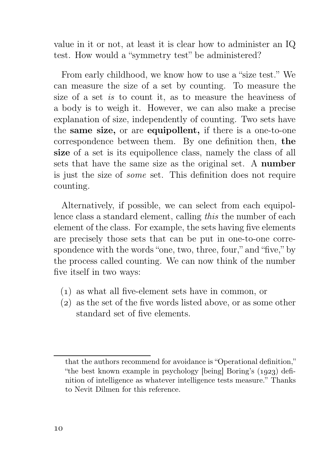value in it or not, at least it is clear how to administer an IQ test. How would a "symmetry test" be administered?

From early childhood, we know how to use a "size test." We can measure the size of a set by counting. To measure the size of a set is to count it, as to measure the heaviness of a body is to weigh it. However, we can also make a precise explanation of size, independently of counting. Two sets have the same size, or are equipollent, if there is a one-to-one correspondence between them. By one definition then, the size of a set is its equipollence class, namely the class of all sets that have the same size as the original set. A number is just the size of some set. This definition does not require counting.

Alternatively, if possible, we can select from each equipollence class a standard element, calling this the number of each element of the class. For example, the sets having five elements are precisely those sets that can be put in one-to-one correspondence with the words "one, two, three, four," and "five," by the process called counting. We can now think of the number five itself in two ways:

- () as what all five-element sets have in common, or
- $(2)$  as the set of the five words listed above, or as some other standard set of five elements.

that the authors recommend for avoidance is "Operational definition," "the best known example in psychology [being] Boring's  $(1923)$  definition of intelligence as whatever intelligence tests measure." Thanks to Nevit Dilmen for this reference.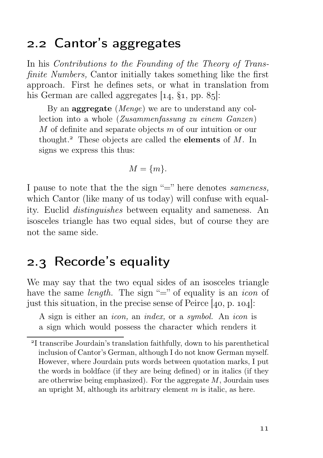#### 2.2 Cantor's aggregates

In his *Contributions to the Founding of the Theory of Trans*finite Numbers, Cantor initially takes something like the first approach. First he defines sets, or what in translation from his German are called aggregates  $[14, \S1, pp. 85]$ :

By an **aggregate** (*Menge*) we are to understand any collection into a whole (Zusammenfassung zu einem Ganzen) M of definite and separate objects m of our intuition or our thought.<sup>2</sup> These objects are called the **elements** of  $M$ . In signs we express this thus:

$$
M = \{m\}.
$$

I pause to note that the the sign "=" here denotes *sameness*, which Cantor (like many of us today) will confuse with equality. Euclid distinguishes between equality and sameness. An isosceles triangle has two equal sides, but of course they are not the same side.

#### 2.3 Recorde's equality

We may say that the two equal sides of an isosceles triangle have the same *length*. The sign "=" of equality is an *icon* of just this situation, in the precise sense of Peirce  $[40, p. 104]$ :

A sign is either an icon, an index, or a symbol. An icon is a sign which would possess the character which renders it

<sup>&</sup>lt;sup>2</sup>I transcribe Jourdain's translation faithfully, down to his parenthetical inclusion of Cantor's German, although I do not know German myself. However, where Jourdain puts words between quotation marks, I put the words in boldface (if they are being defined) or in italics (if they are otherwise being emphasized). For the aggregate  $M$ , Jourdain uses an upright M, although its arbitrary element m is italic, as here.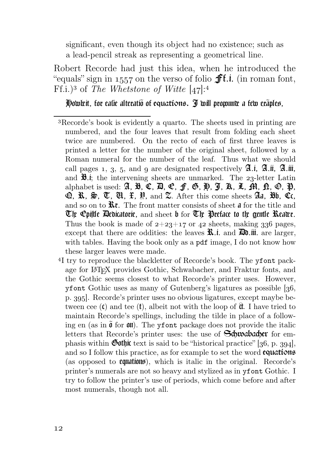significant, even though its object had no existence; such as a lead-pencil streak as representing a geometrical line.

Robert Recorde had just this idea, when he introduced the "equals" sign in 1557 on the verso of folio  $\mathbf{f}$ f.i. (in roman font, Ff.i.)<sup>3</sup> of *The Whetstone of Witte*  $[47]:<sup>4</sup>$ 

How't it, for eatie alteratio of equations. I will promune a few eraples,

- Recorde's book is evidently a quarto. The sheets used in printing are numbered, and the four leaves that result from folding each sheet twice are numbered. On the recto of each of first three leaves is printed a letter for the number of the original sheet, followed by a Roman numeral for the number of the leaf. Thus what we should call pages 1, 3, 5, and  $\alpha$  are designated respectively  $\mathfrak{A}$ .i.  $\mathfrak{A}$ .iii,  $\mathfrak{A}$ .iii, and  $\mathfrak{B}$ .i; the intervening sheets are unmarked. The 23-letter Latin alphabet is used: **A, B, C, D, C, f, G, H, J, K, L, M, D, O, P,**  $\mathcal{D}, \mathcal{R}, \mathcal{D}, \mathcal{D}, \mathcal{U}, \mathcal{H}, \mathcal{H}$ , and  $\mathcal{Z}$ . After this come sheets  $\mathcal{A}$ a,  $\mathcal{H}$ b,  $\mathcal{C}$ c, and so on to  $\mathbf{\hat{R}}\mathbf{t}$ . The front matter consists of sheet **a** for the title and The Cpiftle Dedicatorie, and sheet b for  $\mathfrak C$ ir Preface to the gentle Reaws. Thus the book is made of  $2+23+17$  or 42 sheets, making 336 pages, except that there are oddities: the leaves  $\mathbf{\hat{X}}$ .i. and  $\mathbf{\hat{B}}$ .iii. are larger, with tables. Having the book only as a pdf image, I do not know how these larger leaves were made.
- <sup>4</sup>I try to reproduce the blackletter of Recorde's book. The yfont package for LATEX provides Gothic, Schwabacher, and Fraktur fonts, and the Gothic seems closest to what Recorde's printer uses. However, yfont Gothic uses as many of Gutenberg's ligatures as possible  $[36,$ p. 395. Recorde's printer uses no obvious ligatures, except maybe between cee  $(t)$  and tee  $(t)$ , albeit not with the loop of  $\hat{\mathfrak{a}}$ . I have tried to maintain Recorde's spellings, including the tilde in place of a following en (as in  $\tilde{\mathfrak{g}}$  for  $\mathfrak{m}$ ). The yfont package does not provide the italic letters that Recorde's printer uses: the use of **Schwabacher** for emphasis within **Gothic** text is said to be "historical practice" [ $36$ , p.  $394$ ], and so I follow this practice, as for example to set the word **equations** (as opposed to **equations**), which is italic in the original. Recorde's printer's numerals are not so heavy and stylized as in yfont Gothic. I try to follow the printer's use of periods, which come before and after most numerals, though not all.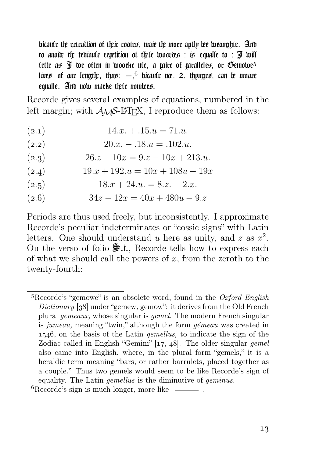bicaule the extraction of their rootes, maie the more aptly free wroughte. And to auoix the tedioule repetition of the twoor $x$  : is equalle to : I will lette as  $\mathfrak I$  we often in woorke ule, a mire of mralleles, or Gemowe<sup>5</sup> line $\mathfrak s$  of one lengtly, thu $\mathfrak s:=\mathfrak s^6$  bicaule nx. 2. thynge $\mathfrak s$ , can  $\mathfrak k$  moare equalle. And now marke the nomices.

Recorde gives several examples of equations, numbered in the left margin; with  $A_{\mathcal{M}}S$ -L<sup>AT</sup>FX, I reproduce them as follows:

- $(2.1)$  14.x. + .15. $u = 71.$ u.
- (2.2)  $20.x 0.18.u = 0.102.u.$
- (2.3)  $26.z + 10x = 9.z 10x + 213.u.$
- (2.4)  $19 \cdot x + 192 \cdot u = 10x + 108u 19x$
- (2.5)  $18.x + 24.u. = 8.z. + 2.x.$
- (2.6)  $34z 12x = 40x + 480u 9z$

Periods are thus used freely, but inconsistently. I approximate Recorde's peculiar indeterminates or "cossic signs" with Latin letters. One should understand u here as unity, and z as  $x^2$ . On the verso of folio  $\frac{1}{2}$ , Recorde tells how to express each of what we should call the powers of  $x$ , from the zeroth to the twenty-fourth:

 ${}^{5}$ Recorde's "gemowe" is an obsolete word, found in the Oxford English Dictionary  $[38]$  under "gemew, gemow": it derives from the Old French plural gemeaux, whose singular is gemel. The modern French singular is jumeau, meaning "twin," although the form gémeau was created in 1546, on the basis of the Latin *gemellus*, to indicate the sign of the Zodiac called in English "Gemini"  $[17, 48]$ . The older singular gemel also came into English, where, in the plural form "gemels," it is a heraldic term meaning "bars, or rather barrulets, placed together as a couple." Thus two gemels would seem to be like Recorde's sign of equality. The Latin gemellus is the diminutive of geminus.

 ${}^{6}$ Recorde's sign is much longer, more like  $\equiv$ .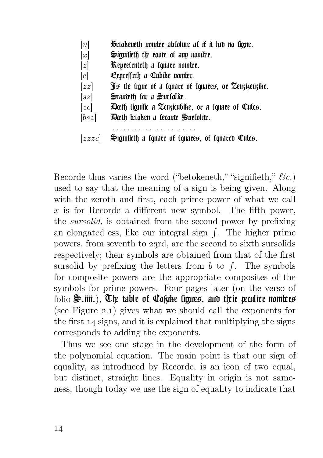- $[u]$  Betokeneth nomber abtolute at it it fab no tigne.
- $[x]$  Signifieth the roote of any nomber.
- $[z]$  Representeth a square nomber.
- $[c]$  **C**epresseth a Cubike nomice.
- $[zz]$  If the figure of a fquare of fquares, or Zenzizenzihe.
- $[sz]$  Special Special special special set of  $[sz]$
- $[zc]$  Dath lianitic a Zenzicubike, or a lquare of Cutes.
- $[bsz]$  Dath wtoken a leconx Surlolix.
	- . . . . . . . . . . . . . . . . . . . . . . .

Recorde thus varies the word ("betokeneth," "signifieth,"  $\mathcal{C}_c$ .) used to say that the meaning of a sign is being given. Along with the zeroth and first, each prime power of what we call  $x$  is for Recorde a different new symbol. The fifth power, the sursolid, is obtained from the second power by prefixing an elongated ess, like our integral sign  $\int$ . The higher prime powers, from seventh to 23rd, are the second to sixth sursolids respectively; their symbols are obtained from that of the first sursolid by prefixing the letters from  $b$  to  $f$ . The symbols for composite powers are the appropriate composites of the symbols for prime powers. Four pages later (on the verso of folio  $\mathfrak{S}$ .iiii.),  $\mathfrak{V}$  table of  $\mathfrak{C}$ okike tignes, and their preulier nombres (see Figure  $2.1$ ) gives what we should call the exponents for the first  $\overline{14}$  signs, and it is explained that multiplying the signs corresponds to adding the exponents.

Thus we see one stage in the development of the form of the polynomial equation. The main point is that our sign of equality, as introduced by Recorde, is an icon of two equal, but distinct, straight lines. Equality in origin is not sameness, though today we use the sign of equality to indicate that

 $[zzzc]$  Signifieth a follare of follares, of follared Cutes.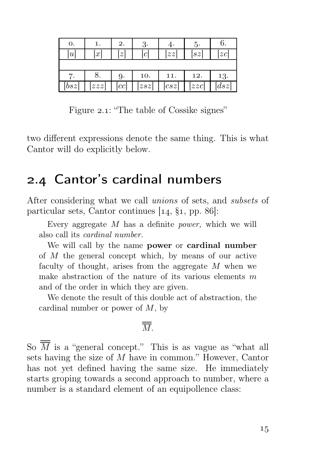| 0.  | 1.  | 2.               | 3.                  | 4.  | đ٠  | b.                  |
|-----|-----|------------------|---------------------|-----|-----|---------------------|
| u   | x   | $\boldsymbol{z}$ | $\lbrack c \rbrack$ | zz  | sz  | z c                 |
|     |     |                  |                     |     |     |                     |
|     | ο.  | 9.               | 10.                 | 11. | 12. | 13.                 |
| bsz | zzz | [cc]             | zsz                 | csz | zzc | $\left  dsz\right $ |

Figure 2.1: "The table of Cossike signes"

two different expressions denote the same thing. This is what Cantor will do explicitly below.

#### 2.4 Cantor's cardinal numbers

After considering what we call unions of sets, and subsets of particular sets, Cantor continues  $[14, \, \S1, \, pp. \, 86]$ :

Every aggregate  $M$  has a definite *power*, which we will also call its cardinal number.

We will call by the name power or cardinal number of M the general concept which, by means of our active faculty of thought, arises from the aggregate M when we make abstraction of the nature of its various elements  $m$ and of the order in which they are given.

We denote the result of this double act of abstraction, the cardinal number or power of  $M$ , by

#### $\overline{\overline{M}}$ .

So  $\overline{\overline{M}}$  is a "general concept." This is as vague as "what all sets having the size of M have in common." However, Cantor has not yet defined having the same size. He immediately starts groping towards a second approach to number, where a number is a standard element of an equipollence class: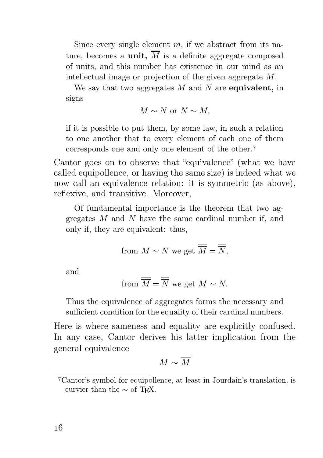Since every single element  $m$ , if we abstract from its nature, becomes a **unit**,  $\overline{M}$  is a definite aggregate composed of units, and this number has existence in our mind as an intellectual image or projection of the given aggregate M.

We say that two aggregates  $M$  and  $N$  are equivalent, in signs

$$
M \sim N \text{ or } N \sim M,
$$

if it is possible to put them, by some law, in such a relation to one another that to every element of each one of them corresponds one and only one element of the other.

Cantor goes on to observe that "equivalence" (what we have called equipollence, or having the same size) is indeed what we now call an equivalence relation: it is symmetric (as above), reflexive, and transitive. Moreover,

Of fundamental importance is the theorem that two aggregates M and N have the same cardinal number if, and only if, they are equivalent: thus,

from 
$$
M \sim N
$$
 we get  $\overline{\overline{M}} = \overline{\overline{N}}$ ,

and

from 
$$
\overline{M} = \overline{N}
$$
 we get  $M \sim N$ .

Thus the equivalence of aggregates forms the necessary and sufficient condition for the equality of their cardinal numbers.

Here is where sameness and equality are explicitly confused. In any case, Cantor derives his latter implication from the general equivalence

$$
M\sim \overline{\overline{M}}
$$

Cantor's symbol for equipollence, at least in Jourdain's translation, is curvier than the  $\sim$  of T<sub>E</sub>X.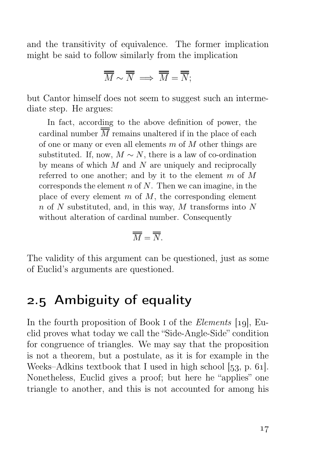and the transitivity of equivalence. The former implication might be said to follow similarly from the implication

$$
\overline{\overline{M}} \sim \overline{\overline{N}} \implies \overline{\overline{M}} = \overline{\overline{N}};
$$

but Cantor himself does not seem to suggest such an intermediate step. He argues:

In fact, according to the above definition of power, the cardinal number  $\overline{M}$  remains unaltered if in the place of each of one or many or even all elements  $m$  of  $M$  other things are substituted. If, now,  $M \sim N$ , there is a law of co-ordination by means of which  $M$  and  $N$  are uniquely and reciprocally referred to one another; and by it to the element  $m$  of  $M$ corresponds the element  $n \in N$ . Then we can imagine, in the place of every element  $m$  of  $M$ , the corresponding element  $n$  of N substituted, and, in this way, M transforms into N without alteration of cardinal number. Consequently

$$
\overline{\overline{M}} = \overline{\overline{N}}.
$$

The validity of this argument can be questioned, just as some of Euclid's arguments are questioned.

#### 2.5 Ambiguity of equality

In the fourth proposition of Book I of the *Elements* [19], Euclid proves what today we call the "Side-Angle-Side" condition for congruence of triangles. We may say that the proposition is not a theorem, but a postulate, as it is for example in the Weeks–Adkins textbook that I used in high school  $[53, p. 61]$ . Nonetheless, Euclid gives a proof; but here he "applies" one triangle to another, and this is not accounted for among his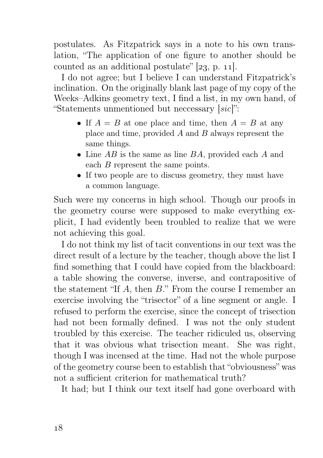postulates. As Fitzpatrick says in a note to his own translation, "The application of one figure to another should be counted as an additional postulate"  $[23, p, 11]$ .

I do not agree; but I believe I can understand Fitzpatrick's inclination. On the originally blank last page of my copy of the Weeks–Adkins geometry text, I find a list, in my own hand, of "Statements unmentioned but neccessary [sic]":

- If  $A = B$  at one place and time, then  $A = B$  at any place and time, provided  $A$  and  $B$  always represent the same things.
- Line  $AB$  is the same as line  $BA$ , provided each  $A$  and each B represent the same points.
- If two people are to discuss geometry, they must have a common language.

Such were my concerns in high school. Though our proofs in the geometry course were supposed to make everything explicit, I had evidently been troubled to realize that we were not achieving this goal.

I do not think my list of tacit conventions in our text was the direct result of a lecture by the teacher, though above the list I find something that I could have copied from the blackboard: a table showing the converse, inverse, and contrapositive of the statement "If A, then B." From the course I remember an exercise involving the "trisector" of a line segment or angle. I refused to perform the exercise, since the concept of trisection had not been formally defined. I was not the only student troubled by this exercise. The teacher ridiculed us, observing that it was obvious what trisection meant. She was right, though I was incensed at the time. Had not the whole purpose of the geometry course been to establish that "obviousness" was not a sufficient criterion for mathematical truth?

It had; but I think our text itself had gone overboard with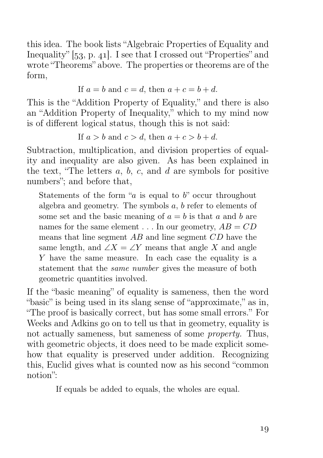this idea. The book lists "Algebraic Properties of Equality and Inequality"  $[53, p. 41]$ . I see that I crossed out "Properties" and wrote "Theorems" above. The properties or theorems are of the form,

If 
$$
a = b
$$
 and  $c = d$ , then  $a + c = b + d$ .

This is the "Addition Property of Equality," and there is also an "Addition Property of Inequality," which to my mind now is of different logical status, though this is not said:

If  $a > b$  and  $c > d$ , then  $a + c > b + d$ .

Subtraction, multiplication, and division properties of equality and inequality are also given. As has been explained in the text, "The letters  $a, b, c$ , and  $d$  are symbols for positive numbers"; and before that,

Statements of the form " $a$  is equal to  $b$ " occur throughout algebra and geometry. The symbols a, b refer to elements of some set and the basic meaning of  $a = b$  is that a and b are names for the same element  $\dots$  In our geometry,  $AB = CD$ means that line segment AB and line segment CD have the same length, and  $\angle X = \angle Y$  means that angle X and angle Y have the same measure. In each case the equality is a statement that the same number gives the measure of both geometric quantities involved.

If the "basic meaning" of equality is sameness, then the word "basic" is being used in its slang sense of "approximate." as in. "The proof is basically correct, but has some small errors." For Weeks and Adkins go on to tell us that in geometry, equality is not actually sameness, but sameness of some *property*. Thus, with geometric objects, it does need to be made explicit somehow that equality is preserved under addition. Recognizing this, Euclid gives what is counted now as his second "common notion":

If equals be added to equals, the wholes are equal.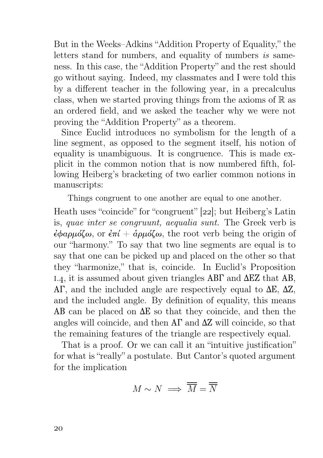But in the Weeks–Adkins "Addition Property of Equality," the letters stand for numbers, and equality of numbers is sameness. In this case, the "Addition Property" and the rest should go without saying. Indeed, my classmates and I were told this by a different teacher in the following year, in a precalculus class, when we started proving things from the axioms of  $\mathbb R$  as an ordered field, and we asked the teacher why we were not proving the "Addition Property" as a theorem.

Since Euclid introduces no symbolism for the length of a line segment, as opposed to the segment itself, his notion of equality is unambiguous. It is congruence. This is made explicit in the common notion that is now numbered fifth, following Heiberg's bracketing of two earlier common notions in manuscripts:

Things congruent to one another are equal to one another.

Heath uses "coincide" for "congruent"  $[22]$ ; but Heiberg's Latin is, quae inter se congruunt, aequalia sunt. The Greek verb is  $\epsilon \phi \alpha \rho \mu \delta \alpha$ , or  $\epsilon \pi i + \dot{\alpha} \rho \mu \delta \alpha$ , the root verb being the origin of our "harmony." To say that two line segments are equal is to say that one can be picked up and placed on the other so that they "harmonize," that is, coincide. In Euclid's Proposition 1.4, it is assumed about given triangles  $AB\Gamma$  and  $\Delta EZ$  that AB, ΑΓ, and the included angle are respectively equal to ∆Ε, ∆Ζ, and the included angle. By definition of equality, this means ΑΒ can be placed on ∆Ε so that they coincide, and then the angles will coincide, and then  $A\Gamma$  and  $\Delta Z$  will coincide, so that the remaining features of the triangle are respectively equal.

That is a proof. Or we can call it an "intuitive justification" for what is "really" a postulate. But Cantor's quoted argument for the implication

$$
M \sim N \implies \overline{\overline{M}} = \overline{\overline{N}}
$$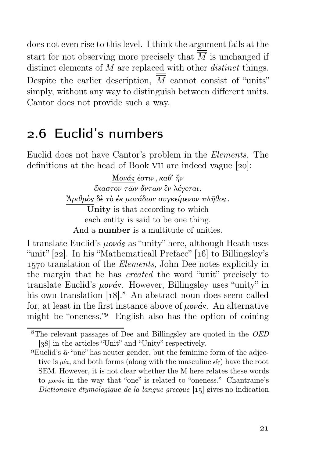does not even rise to this level. I think the argument fails at the start for not observing more precisely that  $\overline{M}$  is unchanged if distinct elements of M are replaced with other *distinct* things. Despite the earlier description,  $\overline{M}$  cannot consist of "units" simply, without any way to distinguish between different units. Cantor does not provide such a way.

#### 2.6 Euclid's numbers

Euclid does not have Cantor's problem in the Elements. The definitions at the head of Book VII are indeed vague  $[20]$ :

> Μονάς ἐστιν, καθ᾿ ἣν ἕκαστον τῶν ὄντων ἓν λέγεται. ᾿Αριθμὸς δὲ τὸ ἐκ μονάδων συγκείμενον πλῆθος. Unity is that according to which each entity is said to be one thing. And a number is a multitude of unities.

I translate Euclid's μονάς as "unity" here, although Heath uses "unit"  $[22]$ . In his "Mathematicall Preface"  $[16]$  to Billingsley's 1570 translation of the *Elements*, John Dee notes explicitly in the margin that he has created the word "unit" precisely to translate Euclid's  $\mu \nu \dot{\alpha} s$ . However, Billingsley uses "unity" in his own translation  $[18]$ .<sup>8</sup> An abstract noun does seem called for, at least in the first instance above of  $\mu \nu \alpha s$ . An alternative might be "oneness." English also has the option of coining

<sup>&</sup>lt;sup>8</sup>The relevant passages of Dee and Billingsley are quoted in the *OED* [38] in the articles "Unit" and "Unity" respectively.

<sup>&</sup>lt;sup>9</sup>Euclid's  $\lll$  "one" has neuter gender, but the feminine form of the adjective is  $\mu a$ , and both forms (along with the masculine  $\epsilon \zeta$ ) have the root SEM. However, it is not clear whether the M here relates these words to μονάς in the way that "one" is related to "oneness." Chantraine's Dictionaire étymologique de la langue grecque  $\lceil 15 \rceil$  gives no indication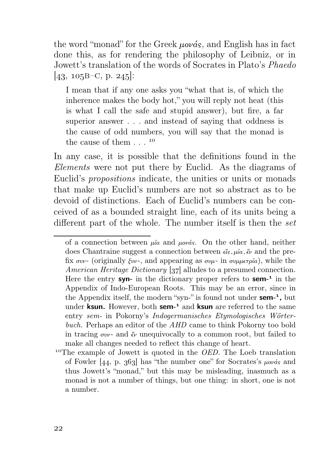the word "monad" for the Greek  $\mu \omega \omega \dot{\alpha}$ , and English has in fact done this, as for rendering the philosophy of Leibniz, or in Jowett's translation of the words of Socrates in Plato's Phaedo  $[43, 105B-C, p. 245]$ :

I mean that if any one asks you "what that is, of which the inherence makes the body hot," you will reply not heat (this is what I call the safe and stupid answer), but fire, a far superior answer . . . and instead of saying that oddness is the cause of odd numbers, you will say that the monad is the cause of them  $\ldots$ <sup>10</sup>

In any case, it is possible that the definitions found in the Elements were not put there by Euclid. As the diagrams of Euclid's propositions indicate, the unities or units or monads that make up Euclid's numbers are not so abstract as to be devoid of distinctions. Each of Euclid's numbers can be conceived of as a bounded straight line, each of its units being a different part of the whole. The number itself is then the set

of a connection between  $\mu/a$  and  $\mu o\nu a s$ . On the other hand, neither does Chantraine suggest a connection between  $\epsilon \zeta$ ,  $\mu \alpha$ ,  $\zeta \nu$  and the prefix συν- (originally ξυν-, and appearing as συμ- in συμμετρία), while the American Heritage Dictionary [37] alludes to a presumed connection. Here the entry syn- in the dictionary proper refers to sem- $<sup>1</sup>$  in the</sup> Appendix of Indo-European Roots. This may be an error, since in the Appendix itself, the modern "syn-" is found not under **sem-**<sup>1</sup>, but under **ksun.** However, both **sem-**<sup> $1$ </sup> and **ksun** are referred to the same entry sem- in Pokorny's Indogermanisches Etymologisches Wörterbuch. Perhaps an editor of the AHD came to think Pokorny too bold in tracing  $\sigma v v$ - and  $\epsilon v$  unequivocally to a common root, but failed to make all changes needed to reflect this change of heart.

<sup>&</sup>lt;sup>10</sup>The example of Jowett is quoted in the *OED*. The Loeb translation of Fowler  $[44, p. 363]$  has "the number one" for Socrates's  $\mu \omega \omega'$  and thus Jowett's "monad," but this may be misleading, inasmuch as a monad is not a number of things, but one thing: in short, one is not a number.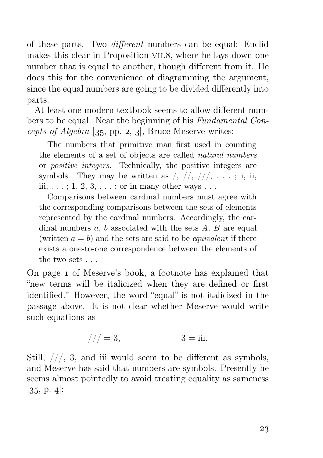of these parts. Two different numbers can be equal: Euclid makes this clear in Proposition VII.8, where he lays down one number that is equal to another, though different from it. He does this for the convenience of diagramming the argument, since the equal numbers are going to be divided differently into parts.

At least one modern textbook seems to allow different numbers to be equal. Near the beginning of his Fundamental Concepts of Algebra  $[35, pp. 2, 3]$ , Bruce Meserve writes:

The numbers that primitive man first used in counting the elements of a set of objects are called natural numbers or positive integers. Technically, the positive integers are symbols. They may be written as  $/$ ,  $/$   $/$ ,  $/$   $/$ ,  $\ldots$ ; i, ii, iii,  $\dots$ ; 1, 2, 3,  $\dots$ ; or in many other ways  $\dots$ 

Comparisons between cardinal numbers must agree with the corresponding comparisons between the sets of elements represented by the cardinal numbers. Accordingly, the cardinal numbers  $a, b$  associated with the sets  $A, B$  are equal (written  $a = b$ ) and the sets are said to be *equivalent* if there exists a one-to-one correspondence between the elements of the two sets . . .

On page 1 of Meserve's book, a footnote has explained that "new terms will be italicized when they are defined or first identified." However, the word "equal" is not italicized in the passage above. It is not clear whether Meserve would write such equations as

$$
// = 3, \qquad \qquad 3 = iii.
$$

Still,  $//$ , 3, and iii would seem to be different as symbols, and Meserve has said that numbers are symbols. Presently he seems almost pointedly to avoid treating equality as sameness  $[35, p. 4]:$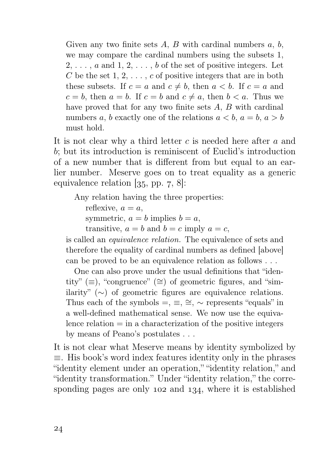Given any two finite sets  $A, B$  with cardinal numbers  $a, b$ , we may compare the cardinal numbers using the subsets 1,  $2, \ldots, a$  and  $1, 2, \ldots, b$  of the set of positive integers. Let C be the set  $1, 2, \ldots, c$  of positive integers that are in both these subsets. If  $c = a$  and  $c \neq b$ , then  $a < b$ . If  $c = a$  and  $c = b$ , then  $a = b$ . If  $c = b$  and  $c \neq a$ , then  $b < a$ . Thus we have proved that for any two finite sets A, B with cardinal numbers a, b exactly one of the relations  $a < b$ ,  $a = b$ ,  $a > b$ must hold.

It is not clear why a third letter c is needed here after a and b; but its introduction is reminiscent of Euclid's introduction of a new number that is different from but equal to an earlier number. Meserve goes on to treat equality as a generic equivalence relation  $[35, pp. 7, 8]$ :

Any relation having the three properties:

reflexive,  $a = a$ ,

symmetric,  $a = b$  implies  $b = a$ ,

transitive,  $a = b$  and  $b = c$  imply  $a = c$ ,

is called an equivalence relation. The equivalence of sets and therefore the equality of cardinal numbers as defined [above] can be proved to be an equivalence relation as follows . . .

One can also prove under the usual definitions that "identity" (≡), "congruence" (≅) of geometric figures, and "similarity" (∼) of geometric figures are equivalence relations. Thus each of the symbols  $=$ ,  $\equiv$ ,  $\approx$ ,  $\sim$  represents "equals" in a well-defined mathematical sense. We now use the equivalence relation  $=$  in a characterization of the positive integers by means of Peano's postulates . . .

It is not clear what Meserve means by identity symbolized by ≡. His book's word index features identity only in the phrases "identity element under an operation," "identity relation," and "identity transformation." Under "identity relation," the corresponding pages are only  $102$  and  $134$ , where it is established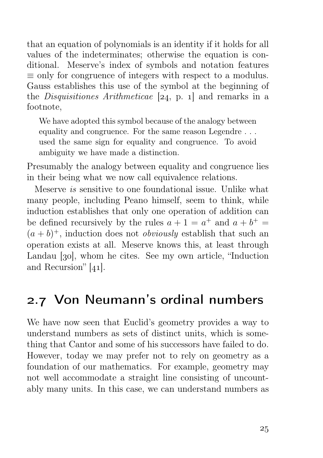that an equation of polynomials is an identity if it holds for all values of the indeterminates; otherwise the equation is conditional. Meserve's index of symbols and notation features  $\equiv$  only for congruence of integers with respect to a modulus. Gauss establishes this use of the symbol at the beginning of the *Disquisitiones Arithmeticae* [ $24$ , p. 1] and remarks in a footnote,

We have adopted this symbol because of the analogy between equality and congruence. For the same reason Legendre . . . used the same sign for equality and congruence. To avoid ambiguity we have made a distinction.

Presumably the analogy between equality and congruence lies in their being what we now call equivalence relations.

Meserve is sensitive to one foundational issue. Unlike what many people, including Peano himself, seem to think, while induction establishes that only one operation of addition can be defined recursively by the rules  $a + 1 = a^+$  and  $a + b^+ =$  $(a + b)^+$ , induction does not *obviously* establish that such an operation exists at all. Meserve knows this, at least through Landau [30], whom he cites. See my own article, "Induction" and Recursion"  $[41]$ .

#### 2.7 Von Neumann's ordinal numbers

We have now seen that Euclid's geometry provides a way to understand numbers as sets of distinct units, which is something that Cantor and some of his successors have failed to do. However, today we may prefer not to rely on geometry as a foundation of our mathematics. For example, geometry may not well accommodate a straight line consisting of uncountably many units. In this case, we can understand numbers as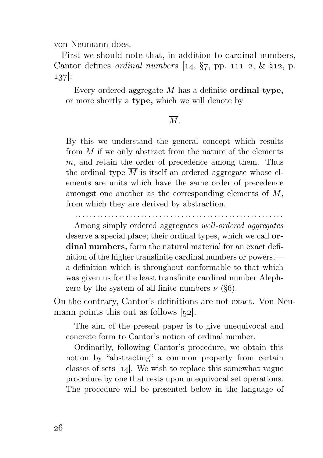von Neumann does.

First we should note that, in addition to cardinal numbers, Cantor defines *ordinal numbers*  $[14, \frac{6}{7}, pp. 111-2, \& \frac{6}{12}, p.$ 137:

Every ordered aggregate  $M$  has a definite **ordinal type**, or more shortly a type, which we will denote by

#### $\overline{M}$

By this we understand the general concept which results from  $M$  if we only abstract from the nature of the elements  $m$ , and retain the order of precedence among them. Thus the ordinal type  $\overline{M}$  is itself an ordered aggregate whose elements are units which have the same order of precedence amongst one another as the corresponding elements of M, from which they are derived by abstraction.

. . . . . . . . . . . . . . . . . . . . . . . . . . . . . . . . . . . . . . . . . . . . . . . . . . . . . . . . .

Among simply ordered aggregates well-ordered aggregates deserve a special place; their ordinal types, which we call ordinal numbers, form the natural material for an exact definition of the higher transfinite cardinal numbers or powers, a definition which is throughout conformable to that which was given us for the least transfinite cardinal number Alephzero by the system of all finite numbers  $\nu$  (§6).

On the contrary, Cantor's definitions are not exact. Von Neumann points this out as follows  $[52]$ .

The aim of the present paper is to give unequivocal and concrete form to Cantor's notion of ordinal number.

Ordinarily, following Cantor's procedure, we obtain this notion by "abstracting" a common property from certain classes of sets  $[14]$ . We wish to replace this somewhat vague procedure by one that rests upon unequivocal set operations. The procedure will be presented below in the language of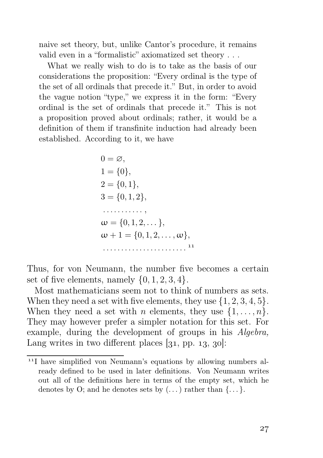naive set theory, but, unlike Cantor's procedure, it remains valid even in a "formalistic" axiomatized set theory . . .

What we really wish to do is to take as the basis of our considerations the proposition: "Every ordinal is the type of the set of all ordinals that precede it." But, in order to avoid the vague notion "type," we express it in the form: "Every ordinal is the set of ordinals that precede it." This is not a proposition proved about ordinals; rather, it would be a definition of them if transfinite induction had already been established. According to it, we have

0 = ∅, 1 = {0}, 2 = {0, 1}, 3 = {0, 1, 2}, . . . . . . . . . . . , <sup>ω</sup> <sup>=</sup> {0, <sup>1</sup>, <sup>2</sup>, . . . }, <sup>ω</sup> + 1 = {0, <sup>1</sup>, <sup>2</sup>, . . . , <sup>ω</sup>}, . . . . . . . . . . . . . . . . . . . . . . . 

Thus, for von Neumann, the number five becomes a certain set of five elements, namely  $\{0, 1, 2, 3, 4\}.$ 

Most mathematicians seem not to think of numbers as sets. When they need a set with five elements, they use  $\{1, 2, 3, 4, 5\}$ . When they need a set with *n* elements, they use  $\{1, \ldots, n\}$ . They may however prefer a simpler notation for this set. For example, during the development of groups in his Algebra, Lang writes in two different places  $[31, pp. 13, 30]$ :

<sup>&</sup>lt;sup>11</sup>I have simplified von Neumann's equations by allowing numbers already defined to be used in later definitions. Von Neumann writes out all of the definitions here in terms of the empty set, which he denotes by O; and he denotes sets by  $(\dots)$  rather than  $\{\dots\}$ .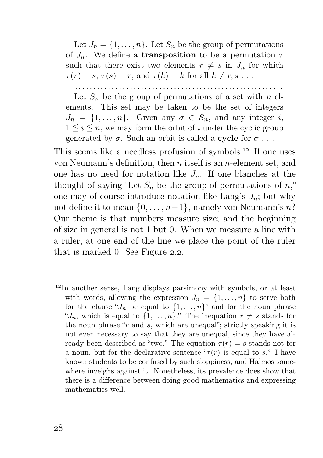Let  $J_n = \{1, \ldots, n\}$ . Let  $S_n$  be the group of permutations of  $J_n$ . We define a **transposition** to be a permutation  $\tau$ such that there exist two elements  $r \neq s$  in  $J_n$  for which  $\tau(r) = s, \tau(s) = r$ , and  $\tau(k) = k$  for all  $k \neq r, s \dots$ .

. . . . . . . . . . . . . . . . . . . . . . . . . . . . . . . . . . . . . . . . . . . . . . . . . . . . . . . . .

Let  $S_n$  be the group of permutations of a set with n elements. This set may be taken to be the set of integers  $J_n = \{1, \ldots, n\}$ . Given any  $\sigma \in S_n$ , and any integer i,  $1 \leq i \leq n$ , we may form the orbit of i under the cyclic group generated by  $\sigma$ . Such an orbit is called a **cycle** for  $\sigma$ ...

This seems like a needless profusion of symbols.<sup>12</sup> If one uses von Neumann's definition, then n itself is an n-element set, and one has no need for notation like  $J_n$ . If one blanches at the thought of saying "Let  $S_n$  be the group of permutations of n," one may of course introduce notation like Lang's  $J_n$ ; but why not define it to mean  $\{0, \ldots, n-1\}$ , namely von Neumann's n? Our theme is that numbers measure size; and the beginning of size in general is not 1 but 0. When we measure a line with a ruler, at one end of the line we place the point of the ruler that is marked 0. See Figure  $2.2$ .

<sup>&</sup>lt;sup>12</sup>In another sense, Lang displays parsimony with symbols, or at least with words, allowing the expression  $J_n = \{1, \ldots, n\}$  to serve both for the clause " $J_n$  be equal to  $\{1, \ldots, n\}$ " and for the noun phrase " $J_n$ , which is equal to  $\{1, \ldots, n\}$ ." The inequation  $r \neq s$  stands for the noun phrase " $r$  and  $s$ , which are unequal"; strictly speaking it is not even necessary to say that they are unequal, since they have already been described as "two." The equation  $\tau(r) = s$  stands not for a noun, but for the declarative sentence " $\tau(r)$  is equal to s." I have known students to be confused by such sloppiness, and Halmos somewhere inveighs against it. Nonetheless, its prevalence does show that there is a difference between doing good mathematics and expressing mathematics well.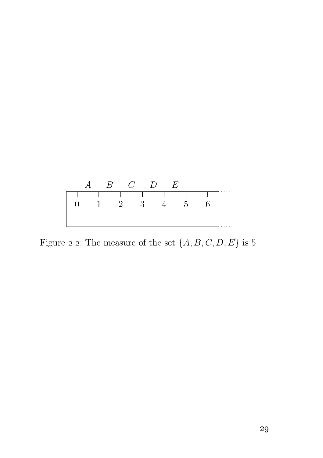

Figure 2.2: The measure of the set  $\{A,B,C,D,E\}$  is  $5$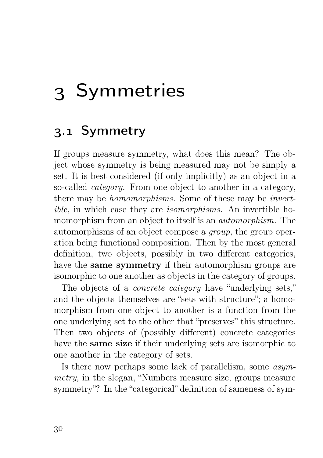# 3 Symmetries

### 3.1 Symmetry

If groups measure symmetry, what does this mean? The object whose symmetry is being measured may not be simply a set. It is best considered (if only implicitly) as an object in a so-called *category*. From one object to another in a category. there may be homomorphisms. Some of these may be invertible, in which case they are isomorphisms. An invertible homomorphism from an object to itself is an automorphism. The automorphisms of an object compose a group, the group operation being functional composition. Then by the most general definition, two objects, possibly in two different categories, have the **same symmetry** if their automorphism groups are isomorphic to one another as objects in the category of groups.

The objects of a *concrete category* have "underlying sets," and the objects themselves are "sets with structure"; a homomorphism from one object to another is a function from the one underlying set to the other that "preserves" this structure. Then two objects of (possibly different) concrete categories have the same size if their underlying sets are isomorphic to one another in the category of sets.

Is there now perhaps some lack of parallelism, some asymmetry, in the slogan, "Numbers measure size, groups measure symmetry"? In the "categorical" definition of sameness of sym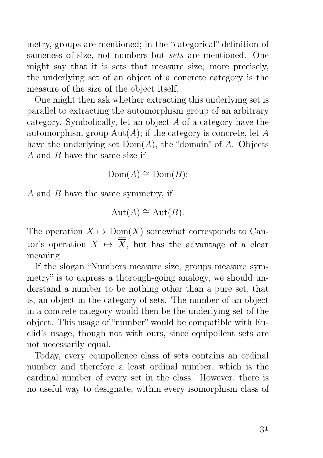metry, groups are mentioned; in the "categorical" definition of sameness of size, not numbers but *sets* are mentioned. One might say that it is sets that measure size; more precisely, the underlying set of an object of a concrete category is the measure of the size of the object itself.

One might then ask whether extracting this underlying set is parallel to extracting the automorphism group of an arbitrary category. Symbolically, let an object A of a category have the automorphism group  $Aut(A)$ ; if the category is concrete, let A have the underlying set  $Dom(A)$ , the "domain" of A. Objects A and B have the same size if

 $Dom(A) \cong Dom(B);$ 

A and B have the same symmetry, if

$$
Aut(A) \cong Aut(B).
$$

The operation  $X \mapsto \text{Dom}(X)$  somewhat corresponds to Cantor's operation  $X \mapsto \overline{X}$ , but has the advantage of a clear meaning.

If the slogan "Numbers measure size, groups measure symmetry" is to express a thorough-going analogy, we should understand a number to be nothing other than a pure set, that is, an object in the category of sets. The number of an object in a concrete category would then be the underlying set of the object. This usage of "number" would be compatible with Euclid's usage, though not with ours, since equipollent sets are not necessarily equal.

Today, every equipollence class of sets contains an ordinal number and therefore a least ordinal number, which is the cardinal number of every set in the class. However, there is no useful way to designate, within every isomorphism class of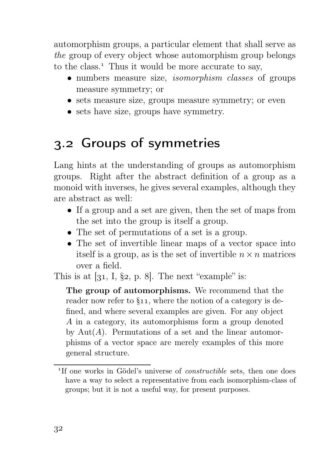automorphism groups, a particular element that shall serve as the group of every object whose automorphism group belongs to the class.<sup>1</sup> Thus it would be more accurate to say,

- numbers measure size, *isomorphism classes* of groups measure symmetry; or
- sets measure size, groups measure symmetry; or even
- sets have size, groups have symmetry.

### . Groups of symmetries

Lang hints at the understanding of groups as automorphism groups. Right after the abstract definition of a group as a monoid with inverses, he gives several examples, although they are abstract as well:

- If a group and a set are given, then the set of maps from the set into the group is itself a group.
- The set of permutations of a set is a group.
- The set of invertible linear maps of a vector space into itself is a group, as is the set of invertible  $n \times n$  matrices over a field.

This is at  $[31, I, §2, p. 8]$ . The next "example" is:

The group of automorphisms. We recommend that the reader now refer to  $\S$ 11, where the notion of a category is defined, and where several examples are given. For any object A in a category, its automorphisms form a group denoted by Aut $(A)$ . Permutations of a set and the linear automorphisms of a vector space are merely examples of this more general structure.

<sup>&</sup>lt;sup>1</sup>If one works in Gödel's universe of *constructible* sets, then one does have a way to select a representative from each isomorphism-class of groups; but it is not a useful way, for present purposes.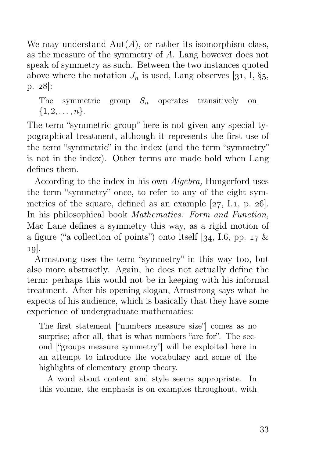We may understand  $Aut(A)$ , or rather its isomorphism class, as the measure of the symmetry of A. Lang however does not speak of symmetry as such. Between the two instances quoted above where the notation  $J_n$  is used, Lang observes [31, I, §5,  $p. 28$ :

The symmetric group  $S_n$  operates transitively on  $\{1, 2, \ldots, n\}.$ 

The term "symmetric group" here is not given any special typographical treatment, although it represents the first use of the term "symmetric" in the index (and the term "symmetry" is not in the index). Other terms are made bold when Lang defines them.

According to the index in his own Algebra, Hungerford uses the term "symmetry" once, to refer to any of the eight symmetries of the square, defined as an example  $[27, I.1, p. 26]$ . In his philosophical book *Mathematics: Form and Function*, Mac Lane defines a symmetry this way, as a rigid motion of a figure ("a collection of points") onto itself [34, I.6, pp.  $17 \&$  $10$ .

Armstrong uses the term "symmetry" in this way too, but also more abstractly. Again, he does not actually define the term: perhaps this would not be in keeping with his informal treatment. After his opening slogan, Armstrong says what he expects of his audience, which is basically that they have some experience of undergraduate mathematics:

The first statement ["numbers measure size"] comes as no surprise; after all, that is what numbers "are for". The second ["groups measure symmetry"] will be exploited here in an attempt to introduce the vocabulary and some of the highlights of elementary group theory.

A word about content and style seems appropriate. In this volume, the emphasis is on examples throughout, with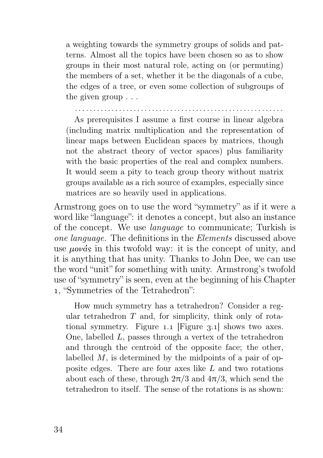a weighting towards the symmetry groups of solids and patterns. Almost all the topics have been chosen so as to show groups in their most natural role, acting on (or permuting) the members of a set, whether it be the diagonals of a cube, the edges of a tree, or even some collection of subgroups of the given group . . .

. . . . . . . . . . . . . . . . . . . . . . . . . . . . . . . . . . . . . . . . . . . . . . . . . . . . . . . . .

As prerequisites I assume a first course in linear algebra (including matrix multiplication and the representation of linear maps between Euclidean spaces by matrices, though not the abstract theory of vector spaces) plus familiarity with the basic properties of the real and complex numbers. It would seem a pity to teach group theory without matrix groups available as a rich source of examples, especially since matrices are so heavily used in applications.

Armstrong goes on to use the word "symmetry" as if it were a word like "language": it denotes a concept, but also an instance of the concept. We use language to communicate; Turkish is one language. The definitions in the Elements discussed above use  $\mu \omega \dot{\alpha}$  in this twofold way: it is the concept of unity, and it is anything that has unity. Thanks to John Dee, we can use the word "unit" for something with unity. Armstrong's twofold use of "symmetry" is seen, even at the beginning of his Chapter , "Symmetries of the Tetrahedron":

How much symmetry has a tetrahedron? Consider a regular tetrahedron  $T$  and, for simplicity, think only of rotational symmetry. Figure 1.1 [Figure  $3.1$ ] shows two axes. One, labelled L, passes through a vertex of the tetrahedron and through the centroid of the opposite face; the other, labelled M, is determined by the midpoints of a pair of opposite edges. There are four axes like L and two rotations about each of these, through  $2\pi/3$  and  $4\pi/3$ , which send the tetrahedron to itself. The sense of the rotations is as shown: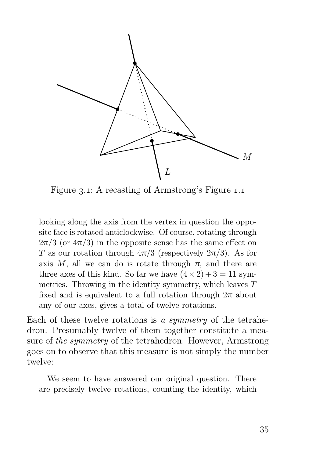

Figure 3.1: A recasting of Armstrong's Figure 1.1

looking along the axis from the vertex in question the opposite face is rotated anticlockwise. Of course, rotating through  $2\pi/3$  (or  $4\pi/3$ ) in the opposite sense has the same effect on T as our rotation through  $4\pi/3$  (respectively  $2\pi/3$ ). As for axis M, all we can do is rotate through  $\pi$ , and there are three axes of this kind. So far we have  $(4 \times 2) + 3 = 11$  symmetries. Throwing in the identity symmetry, which leaves  $T$ fixed and is equivalent to a full rotation through  $2\pi$  about any of our axes, gives a total of twelve rotations.

Each of these twelve rotations is a symmetry of the tetrahedron. Presumably twelve of them together constitute a measure of the symmetry of the tetrahedron. However, Armstrong goes on to observe that this measure is not simply the number twelve:

We seem to have answered our original question. There are precisely twelve rotations, counting the identity, which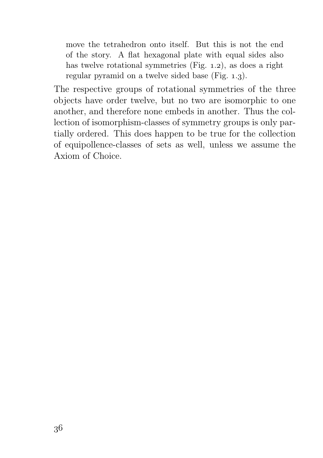move the tetrahedron onto itself. But this is not the end of the story. A flat hexagonal plate with equal sides also has twelve rotational symmetries  $(Fig. 1.2)$ , as does a right regular pyramid on a twelve sided base  $(Fig. 1.3)$ .

The respective groups of rotational symmetries of the three objects have order twelve, but no two are isomorphic to one another, and therefore none embeds in another. Thus the collection of isomorphism-classes of symmetry groups is only partially ordered. This does happen to be true for the collection of equipollence-classes of sets as well, unless we assume the Axiom of Choice.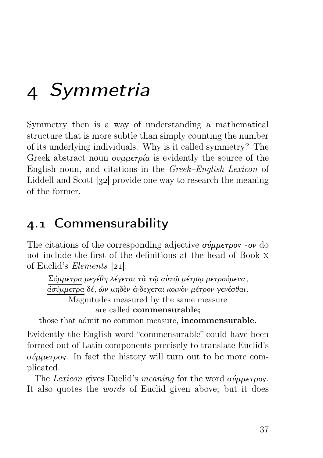# Symmetria

Symmetry then is a way of understanding a mathematical structure that is more subtle than simply counting the number of its underlying individuals. Why is it called symmetry? The Greek abstract noun  $\sigma\nu\mu\mu\epsilon\tau\rho\alpha$  is evidently the source of the English noun, and citations in the Greek–English Lexicon of Liddell and Scott [32] provide one way to research the meaning of the former.

#### 4.1 Commensurability

The citations of the corresponding adjective  $\sigma \psi \mu \epsilon \tau \rho \sigma s$  -ov do not include the first of the definitions at the head of Book x of Euclid's *Elements*  $[21]$ :

Σύμμετρα μεγέθη λέγεται τὰ τῷ αὐτῷ μέτρῳ μετρούμενα, ἀσύμμετρα δέ, ὧν μηδὲν ἐνδεχεται κοινὸν μέτρον γενέσθαι. Magnitudes measured by the same measure are called commensurable;

those that admit no common measure, incommensurable.

Evidently the English word "commensurable" could have been formed out of Latin components precisely to translate Euclid's σύμμετρος. In fact the history will turn out to be more complicated.

The Lexicon gives Euclid's meaning for the word σύμμετρος. It also quotes the words of Euclid given above; but it does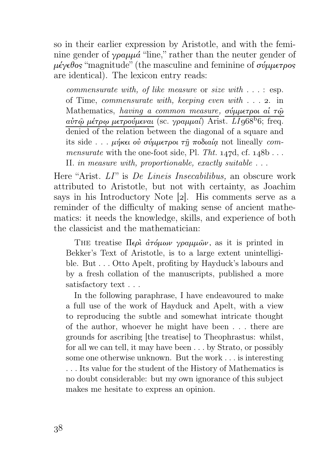so in their earlier expression by Aristotle, and with the feminine gender of γραμμά "line," rather than the neuter gender of μέγεθος "magnitude" (the masculine and feminine of σύμμετρος are identical). The lexicon entry reads:

commensurate with, of like measure or size with . . . : esp. of Time, *commensurate with, keeping even with*  $\ldots$  2. in Mathematics, having a common measure, σύμμετροι αί τώ αὐτῷ μέτρῳ μετρούμεναι (sc. γραμμαί) Arist.  $LI$  968<sup>b</sup>6; freq. denied of the relation between the diagonal of a square and its side . . . μήκει οὐ σύμμετροι τῆ ποδιαία not lineally commensurate with the one-foot side, Pl. Tht.  $147d$ , cf.  $148b$ ... II. in measure with, proportionable, exactly suitable . . .

Here "Arist. LI" is De Lineis Insecabilibus, an obscure work attributed to Aristotle, but not with certainty, as Joachim says in his Introductory Note  $[2]$ . His comments serve as a reminder of the difficulty of making sense of ancient mathematics: it needs the knowledge, skills, and experience of both the classicist and the mathematician:

THE treatise Περὶ  $\dot{a}\tau \dot{\phi}\mu \omega \nu$  γραμμών, as it is printed in Bekker's Text of Aristotle, is to a large extent unintelligible. But . . . Otto Apelt, profiting by Hayduck's labours and by a fresh collation of the manuscripts, published a more satisfactory text . . .

In the following paraphrase, I have endeavoured to make a full use of the work of Hayduck and Apelt, with a view to reproducing the subtle and somewhat intricate thought of the author, whoever he might have been . . . there are grounds for ascribing [the treatise] to Theophrastus: whilst, for all we can tell, it may have been . . . by Strato, or possibly some one otherwise unknown. But the work . . . is interesting . . . Its value for the student of the History of Mathematics is no doubt considerable: but my own ignorance of this subject makes me hesitate to express an opinion.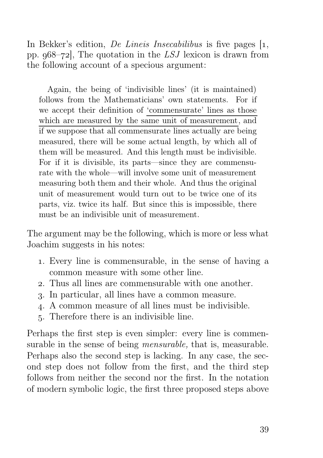In Bekker's edition, *De Lineis Insecabilibus* is five pages  $\left[1, \right]$ pp.  $968-72$ . The quotation in the LSJ lexicon is drawn from the following account of a specious argument:

Again, the being of 'indivisible lines' (it is maintained) follows from the Mathematicians' own statements. For if we accept their definition of 'commensurate' lines as those which are measured by the same unit of measurement, and if we suppose that all commensurate lines actually are being measured, there will be some actual length, by which all of them will be measured. And this length must be indivisible. For if it is divisible, its parts—since they are commensurate with the whole—will involve some unit of measurement measuring both them and their whole. And thus the original unit of measurement would turn out to be twice one of its parts, viz. twice its half. But since this is impossible, there must be an indivisible unit of measurement.

The argument may be the following, which is more or less what Joachim suggests in his notes:

- . Every line is commensurable, in the sense of having a common measure with some other line.
- . Thus all lines are commensurable with one another.
- . In particular, all lines have a common measure.
- . A common measure of all lines must be indivisible.
- . Therefore there is an indivisible line.

Perhaps the first step is even simpler: every line is commensurable in the sense of being *mensurable*, that is, measurable. Perhaps also the second step is lacking. In any case, the second step does not follow from the first, and the third step follows from neither the second nor the first. In the notation of modern symbolic logic, the first three proposed steps above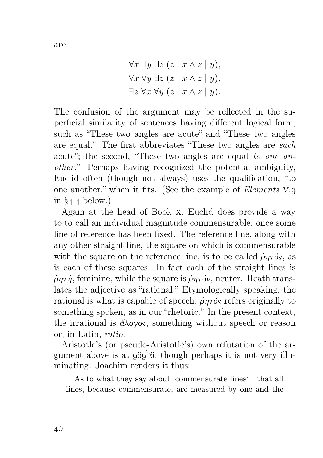$\forall r \exists u \exists z (z | r \land z | u)$ 

$$
\forall x \exists y \exists z \ (z \mid x \land z \mid y),
$$
  

$$
\forall x \forall y \exists z (z \mid x \land z \mid y),
$$
  

$$
\exists z \forall x \forall y (z \mid x \land z \mid y).
$$

The confusion of the argument may be reflected in the superficial similarity of sentences having different logical form, such as "These two angles are acute" and "These two angles" are equal." The first abbreviates "These two angles are each acute"; the second, "These two angles are equal to one another." Perhaps having recognized the potential ambiguity, Euclid often (though not always) uses the qualification, "to one another," when it fits. (See the example of *Elements* v.q. in  $\S_{4.4}$  below.)

Again at the head of Book x, Euclid does provide a way to to call an individual magnitude commensurable, once some line of reference has been fixed. The reference line, along with any other straight line, the square on which is commensurable with the square on the reference line, is to be called  $\hat{\rho}$ ητός, as is each of these squares. In fact each of the straight lines is  $\dot{\rho}$ ητή, feminine, while the square is  $\dot{\rho}$ ητόν, neuter. Heath translates the adjective as "rational." Etymologically speaking, the rational is what is capable of speech;  $\hat{\rho}$  or  $\hat{\rho}$  refers originally to something spoken, as in our "rhetoric." In the present context, the irrational is  $\partial\Omega$  is something without speech or reason or, in Latin, ratio.

Aristotle's (or pseudo-Aristotle's) own refutation of the argument above is at  $969^{\circ}6$ , though perhaps it is not very illuminating. Joachim renders it thus:

As to what they say about 'commensurate lines'—that all lines, because commensurate, are measured by one and the

are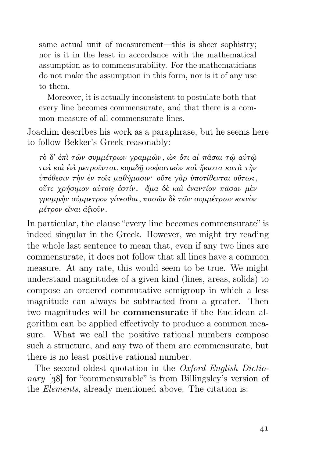same actual unit of measurement—this is sheer sophistry; nor is it in the least in accordance with the mathematical assumption as to commensurability. For the mathematicians do not make the assumption in this form, nor is it of any use to them.

Moreover, it is actually inconsistent to postulate both that every line becomes commensurate, and that there is a common measure of all commensurate lines.

Joachim describes his work as a paraphrase, but he seems here to follow Bekker's Greek reasonably:

τὸ δ' ἐπὶ τῶν συμμέτρων γραμμῶν, ὡς ὅτι αἱ πᾶσαι τῷ αὐτῷ τινὶ καὶ ἑνὶ μετροῦνται, κομιδῇ σοφιστικὸν καὶ ἥκιστα κατὰ τὴν ὑπόθεσιν τὴν ἐν τοῖς μαθήμασιν· οὔτε γὰρ ὑποτίθενται οὕτως, οὔτε χρήσιμον αὐτοῖς ἐστίν. ἅμα δὲ καὶ ἐναντίον πᾶσαν μὲν γραμμὴν σύμμετρον γίνεσθαι, πασῶν δὲ τῶν συμμέτρων κοινὸν μέτρον εἶναι ἀξιοῦν.

In particular, the clause "every line becomes commensurate" is indeed singular in the Greek. However, we might try reading the whole last sentence to mean that, even if any two lines are commensurate, it does not follow that all lines have a common measure. At any rate, this would seem to be true. We might understand magnitudes of a given kind (lines, areas, solids) to compose an ordered commutative semigroup in which a less magnitude can always be subtracted from a greater. Then two magnitudes will be commensurate if the Euclidean algorithm can be applied effectively to produce a common measure. What we call the positive rational numbers compose such a structure, and any two of them are commensurate, but there is no least positive rational number.

The second oldest quotation in the Oxford English Dictionary [38] for "commensurable" is from Billingsley's version of the Elements, already mentioned above. The citation is: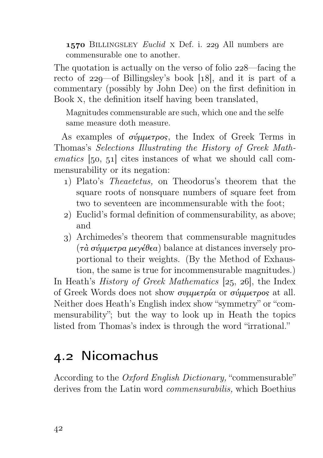1570 BILLINGSLEY Euclid X Def. i. 229 All numbers are commensurable one to another.

The quotation is actually on the verso of folio  $228$ —facing the recto of  $229$ —of Billingsley's book [18], and it is part of a commentary (possibly by John Dee) on the first definition in Book x, the definition itself having been translated,

Magnitudes commensurable are such, which one and the selfe same measure doth measure.

As examples of σύμμετρος, the Index of Greek Terms in Thomas's Selections Illustrating the History of Greek Math $ematics [50, 51] cites instances of what we should call com$ mensurability or its negation:

- ) Plato's Theaetetus, on Theodorus's theorem that the square roots of nonsquare numbers of square feet from two to seventeen are incommensurable with the foot;
- ) Euclid's formal definition of commensurability, as above; and
- ) Archimedes's theorem that commensurable magnitudes (τὰ σύμμετρα μεγέθεα) balance at distances inversely proportional to their weights. (By the Method of Exhaustion, the same is true for incommensurable magnitudes.)

In Heath's *History of Greek Mathematics* [25, 26], the Index of Greek Words does not show συμμετρία or σύμμετρος at all. Neither does Heath's English index show "symmetry" or "commensurability"; but the way to look up in Heath the topics listed from Thomas's index is through the word "irrational."

#### 4.2 Nicomachus

According to the Oxford English Dictionary, "commensurable" derives from the Latin word commensurabilis, which Boethius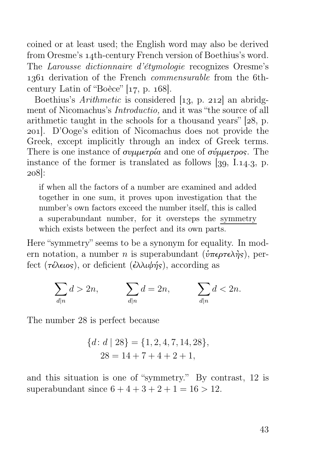coined or at least used; the English word may also be derived from Oresme's 14th-century French version of Boethius's word. The Larousse dictionnaire d'étymologie recognizes Oresme's 1361 derivation of the French *commensurable* from the 6thcentury Latin of "Boèce"  $[17, p. 168]$ .

Boethius's *Arithmetic* is considered  $\begin{bmatrix} 1 & 3 \\ 2 & 12 \end{bmatrix}$  an abridgment of Nicomachus's Introductio, and it was "the source of all arithmetic taught in the schools for a thousand years"  $[28, p.$ ]. D'Ooge's edition of Nicomachus does not provide the Greek, except implicitly through an index of Greek terms. There is one instance of  $\sigma$ νιμιετρία and one of σύμμετρος. The instance of the former is translated as follows  $\left[39, 1.14.3, p. \right]$ . 208:

if when all the factors of a number are examined and added together in one sum, it proves upon investigation that the number's own factors exceed the number itself, this is called a superabundant number, for it oversteps the symmetry which exists between the perfect and its own parts.

Here "symmetry" seems to be a synonym for equality. In modern notation, a number n is superabundant ( $\hat{v}$ περτελής), perfect (τέλειος), or deficient (ἐλλιψής), according as

$$
\sum_{d|n} d > 2n, \qquad \sum_{d|n} d = 2n, \qquad \sum_{d|n} d < 2n.
$$

The number 28 is perfect because

$$
{d: d | 28} = {1, 2, 4, 7, 14, 28},
$$
  

$$
28 = 14 + 7 + 4 + 2 + 1,
$$

and this situation is one of "symmetry." By contrast, 12 is superabundant since  $6 + 4 + 3 + 2 + 1 = 16 > 12$ .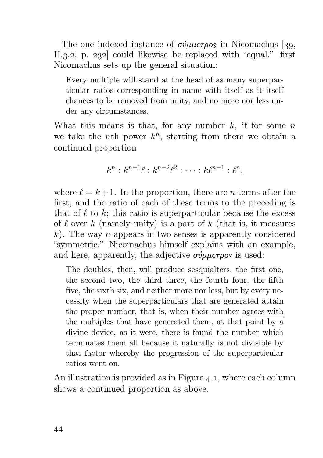The one indexed instance of σύμμετρος in Nicomachus [39, II.3.2, p. 232 could likewise be replaced with "equal." first Nicomachus sets up the general situation:

Every multiple will stand at the head of as many superparticular ratios corresponding in name with itself as it itself chances to be removed from unity, and no more nor less under any circumstances.

What this means is that, for any number  $k$ , if for some  $n$ we take the *n*th power  $k^n$ , starting from there we obtain a continued proportion

$$
k^{n}: k^{n-1}\ell : k^{n-2}\ell^{2} : \cdots : k\ell^{n-1} : \ell^{n},
$$

where  $\ell = k+1$ . In the proportion, there are *n* terms after the first, and the ratio of each of these terms to the preceding is that of  $\ell$  to  $k$ ; this ratio is superparticular because the excess of  $\ell$  over k (namely unity) is a part of k (that is, it measures  $k$ ). The way *n* appears in two senses is apparently considered "symmetric." Nicomachus himself explains with an example, and here, apparently, the adjective  $\sigma \dot{\psi} \mu \nu \sigma \rho \rho \sigma$  is used:

The doubles, then, will produce sesquialters, the first one, the second two, the third three, the fourth four, the fifth five, the sixth six, and neither more nor less, but by every necessity when the superparticulars that are generated attain the proper number, that is, when their number agrees with the multiples that have generated them, at that point by a divine device, as it were, there is found the number which terminates them all because it naturally is not divisible by that factor whereby the progression of the superparticular ratios went on.

An illustration is provided as in Figure  $4.1$ , where each column shows a continued proportion as above.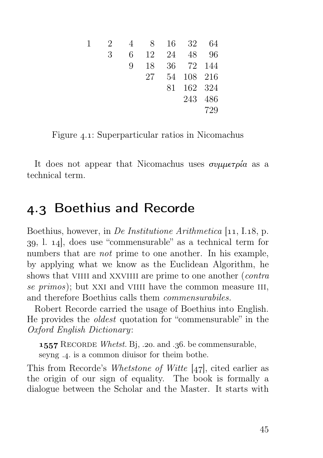| 1 | 2 | $\overline{4}$ |    |       | 8 16 32    | 64  |
|---|---|----------------|----|-------|------------|-----|
|   | 3 | 6.             |    | 12 24 | 48         | 96  |
|   |   | Q.             | 18 |       | 36 72 144  |     |
|   |   |                | 27 |       | 54 108 216 |     |
|   |   |                |    |       | 81 162 324 |     |
|   |   |                |    |       | 243 486    |     |
|   |   |                |    |       |            | 729 |

Figure 4.1: Superparticular ratios in Nicomachus

It does not appear that Nicomachus uses συμμετρία as a technical term.

#### 4.3 Boethius and Recorde

Boethius, however, in *De Institutione Arithmetica*  $[11, 1.18, p$ .  $39, 1.14$ , does use "commensurable" as a technical term for numbers that are *not* prime to one another. In his example, by applying what we know as the Euclidean Algorithm, he shows that VIIII and XXVIIII are prime to one another (*contra* se  $primos$ ; but XXI and VIIII have the common measure III, and therefore Boethius calls them commensurabiles.

Robert Recorde carried the usage of Boethius into English. He provides the oldest quotation for "commensurable" in the Oxford English Dictionary:

**1557** RECORDE Whetst. Bj, .20. and .36. be commensurable, seyng .4. is a common diuisor for theim bothe.

This from Recorde's Whetstone of Witte  $[47]$ , cited earlier as the origin of our sign of equality. The book is formally a dialogue between the Scholar and the Master. It starts with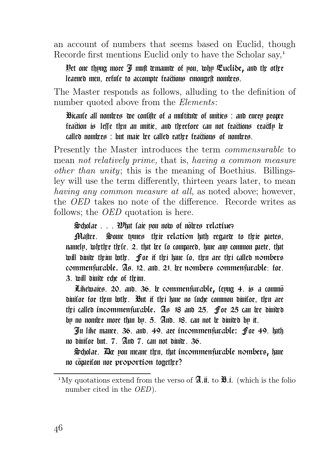an account of numbers that seems based on Euclid, though Recorde first mentions Euclid only to have the Scholar say,

Yet one thyng more *I* mult wmaunw of you, why Euclide, and the other learned men, refule to accompte fractions emongelt nomicrs.

The Master responds as follows, alluding to the definition of number quoted above from the Elements:

Bicaute all nomices we confifte of a multituve of unities : and euery proper fraction is leffe then an unitie, and therefore can not fractions eractly be  $cal$  realied nomivers : but maie  $\alpha$  called rative fra $\alpha$ ions of nomivers.

Presently the Master introduces the term commensurable to mean not relatively prime, that is, having a common measure other than unity; this is the meaning of Boethius. Billingsley will use the term differently, thirteen years later, to mean having any common measure at all, as noted above; however, the OED takes no note of the difference. Recorde writes as follows; the OED quotation is here.

 $\frac{1}{2}$ cholar . . .  $\frac{1}{2}$  whit taie you now of noters relative?

**Matter.** Some tymes their relation luth regara to their partes, namelp, wietier tiele. 2. that iee lo compared, have any common parte, that will diuice theim lothe. for it thei have to, then are thei called nombers commenfurable. As 12. and 21. The nombers commenfurable: for. 3. will diuive eche of theim.

 $E$ thewaies. 20. and. 36.  $\mathbf k$  commenfurable, lepng 4. is a commod diuitor for them lothe. But if thei have no tuche common diuitor, then are thei called incommensurable.  $\mathfrak{As}$  18 and 25. for 25 can bee divided by no nomice more than by.  $5.$  And.  $18.$  can not  $\alpha$  diuiced by it.

In like maner. 36. and. 49. are incommenfurable: for 49. lath no diuifor but.  $7.$  And  $7.$  can not diuite.  $36.$ 

 $\mathfrak{Sol}_0$ ar.  $\mathbb R$  pou meane tien, that incommen furable nombers, have no comriton nor proportion together?

<sup>&</sup>lt;sup>1</sup>My quotations extend from the verso of  $\mathfrak{A}$ .ii. to  $\mathfrak{B}$ .i. (which is the folio number cited in the *OED*).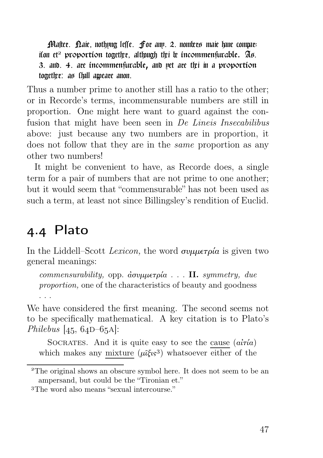Plafter. Daie, nothyng leffe. For any. 2. nomices maie hue comparifon et<sup>2</sup> proportion together, althugh the  $\mathfrak k$  incommensurable.  $\mathfrak A$ s. 3. and, 4. are incommenfurable, and pet are the in a proportion together: as thall ameare anon.

Thus a number prime to another still has a ratio to the other; or in Recorde's terms, incommensurable numbers are still in proportion. One might here want to guard against the confusion that might have been seen in De Lineis Insecabilibus above: just because any two numbers are in proportion, it does not follow that they are in the same proportion as any other two numbers!

It might be convenient to have, as Recorde does, a single term for a pair of numbers that are not prime to one another; but it would seem that "commensurable" has not been used as such a term, at least not since Billingsley's rendition of Euclid.

#### . Plato

In the Liddell–Scott Lexicon, the word συμμετρία is given two general meanings:

commensurability, opp. ἀσυμμετρία . . . II. symmetry, due proportion, one of the characteristics of beauty and goodness . . .

We have considered the first meaning. The second seems not to be specifically mathematical. A key citation is to Plato's Philebus  $|45, 64D-65A|$ :

SOCRATES. And it is quite easy to see the cause  $(a\tilde{i}\tau\tilde{i}a)$ which makes any mixture  $(\mu \tilde{\zeta}_{\mathfrak{s}} s)$  whatsoever either of the

The original shows an obscure symbol here. It does not seem to be an ampersand, but could be the "Tironian et."

The word also means "sexual intercourse."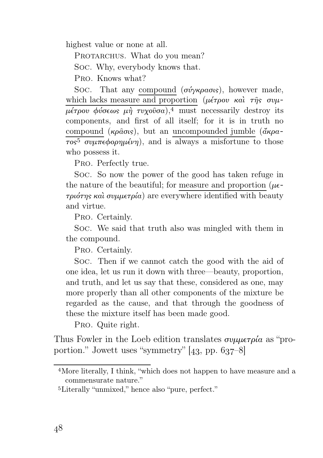highest value or none at all.

PROTARCHUS. What do you mean?

Soc. Why, everybody knows that.

Pro. Knows what?

Soc. That any compound  $(σύγκρασις)$ , however made, which lacks measure and proportion ( $\mu \epsilon \tau \rho \sigma \nu \kappa \alpha \iota \tau \eta \sigma \sigma \nu \mu$ μέτρου φύσεως μὴ τυχοῦσα), must necessarily destroy its components, and first of all itself; for it is in truth no compound (κρ $\hat{\alpha}$ σις), but an uncompounded jumble (άκρα- $\overline{\tau \circ s^5}$  συμπεφορημένη), and is always a misfortune to those who possess it.

Pro. Perfectly true.

Soc. So now the power of the good has taken refuge in the nature of the beautiful; for measure and proportion  $(\mu \epsilon$ τριότης καὶ συμμετρία) are everywhere identified with beauty and virtue.

Pro. Certainly.

Soc. We said that truth also was mingled with them in the compound.

Pro. Certainly.

Soc. Then if we cannot catch the good with the aid of one idea, let us run it down with three—beauty, proportion, and truth, and let us say that these, considered as one, may more properly than all other components of the mixture be regarded as the cause, and that through the goodness of these the mixture itself has been made good.

Pro. Quite right.

Thus Fowler in the Loeb edition translates  $\sigma \nu \mu \mu \epsilon \tau \rho \alpha$  as "proportion." Jowett uses "symmetry"  $[43, pp. 637-8]$ 

More literally, I think, "which does not happen to have measure and a commensurate nature."

Literally "unmixed," hence also "pure, perfect."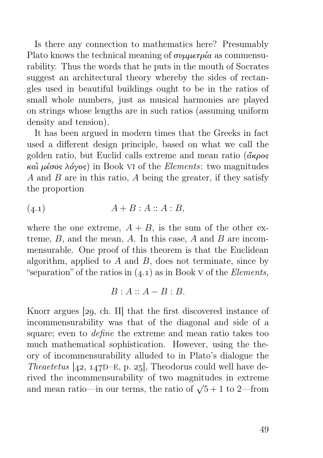Is there any connection to mathematics here? Presumably Plato knows the technical meaning of  $\sigma \nu \mu \nu \epsilon \tau \rho \nu \alpha$  as commensurability. Thus the words that he puts in the mouth of Socrates suggest an architectural theory whereby the sides of rectangles used in beautiful buildings ought to be in the ratios of small whole numbers, just as musical harmonies are played on strings whose lengths are in such ratios (assuming uniform density and tension).

It has been argued in modern times that the Greeks in fact used a different design principle, based on what we call the golden ratio, but Euclid calls extreme and mean ratio  $(\tilde{\alpha}\kappa\rho o_s)$ καὶ μέσος λόγος) in Book VI of the *Elements*: two magnitudes A and B are in this ratio, A being the greater, if they satisfy the proportion

$$
(4.1) \qquad \qquad A + B : A :: A : B,
$$

where the one extreme,  $A + B$ , is the sum of the other extreme,  $B$ , and the mean,  $A$ . In this case,  $A$  and  $B$  are incommensurable. One proof of this theorem is that the Euclidean algorithm, applied to  $A$  and  $B$ , does not terminate, since by "separation" of the ratios in  $(4.1)$  as in Book v of the *Elements*,

$$
B:A::A-B:B.
$$

Knorr argues  $[29, ch. II]$  that the first discovered instance of incommensurability was that of the diagonal and side of a square; even to define the extreme and mean ratio takes too much mathematical sophistication. However, using the theory of incommensurability alluded to in Plato's dialogue the Theaetetus  $[42, 147D-E, p. 25]$ , Theodorus could well have derived the incommensurability of two magnitudes in extreme and mean ratio—in our terms, the ratio of  $\sqrt{5}+1$  to 2—from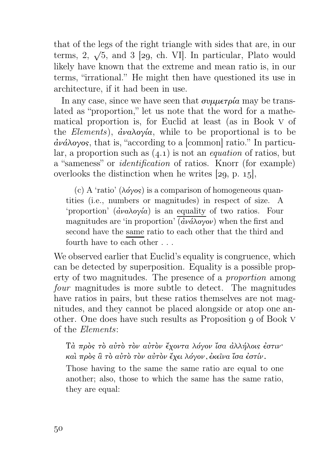that of the legs of the right triangle with sides that are, in our terms, 2,  $\sqrt{5}$ , and 3 [29, ch. VI]. In particular, Plato would likely have known that the extreme and mean ratio is, in our terms, "irrational." He might then have questioned its use in architecture, if it had been in use.

In any case, since we have seen that  $\sigma \nu \mu \varepsilon \tau \rho' \alpha$  may be translated as "proportion," let us note that the word for a mathematical proportion is, for Euclid at least (as in Book v of the Elements),  $\dot{a}v_{\alpha} \lambda_{\alpha} \dot{v}_{\alpha}$ , while to be proportional is to be ἀνάλογος, that is, "according to a [common] ratio." In particular, a proportion such as  $(4.1)$  is not an *equation* of ratios, but a "sameness" or identification of ratios. Knorr (for example) overlooks the distinction when he writes  $[29, p. 15]$ ,

(c) A 'ratio'  $(\lambda \phi \gamma \circ s)$  is a comparison of homogeneous quantities (i.e., numbers or magnitudes) in respect of size. A 'proportion'  $(\frac{\partial \nu a}{\partial y \partial x})$  is an equality of two ratios. Four magnitudes are 'in proportion'  $(\partial \nu \partial \rho)$  when the first and second have the same ratio to each other that the third and fourth have to each other . . .

We observed earlier that Euclid's equality is congruence, which can be detected by superposition. Equality is a possible property of two magnitudes. The presence of a proportion among four magnitudes is more subtle to detect. The magnitudes have ratios in pairs, but these ratios themselves are not magnitudes, and they cannot be placed alongside or atop one another. One does have such results as Proposition of Book v of the Elements:

Τὰ πρὸς τὸ αὐτὸ τὸν αὐτὸν ἔχοντα λόγον ἴσα ἀλλήλοις ἐστιν· καὶ πρὸς ἃ τὸ αὐτὸ τὸν αὐτὸν ἔχει λόγον, ἐκεῖνα ἴσα ἐστίν.

Those having to the same the same ratio are equal to one another; also, those to which the same has the same ratio, they are equal: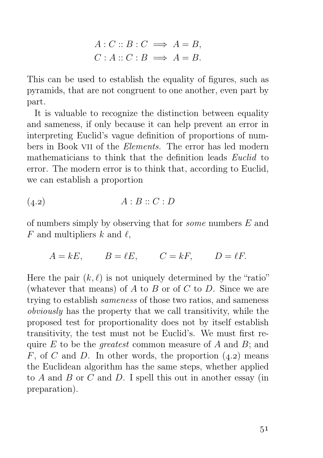$$
A: C :: B: C \implies A = B,
$$
  

$$
C: A :: C: B \implies A = B.
$$

This can be used to establish the equality of figures, such as pyramids, that are not congruent to one another, even part by part.

It is valuable to recognize the distinction between equality and sameness, if only because it can help prevent an error in interpreting Euclid's vague definition of proportions of numbers in Book vii of the Elements. The error has led modern mathematicians to think that the definition leads *Euclid* to error. The modern error is to think that, according to Euclid, we can establish a proportion

$$
(4.2) \t\t A:B::C:D
$$

of numbers simply by observing that for some numbers E and F and multipliers k and  $\ell$ ,

$$
A = kE, \qquad B = \ell E, \qquad C = kF, \qquad D = \ell F.
$$

Here the pair  $(k, \ell)$  is not uniquely determined by the "ratio" (whatever that means) of  $A$  to  $B$  or of  $C$  to  $D$ . Since we are trying to establish sameness of those two ratios, and sameness obviously has the property that we call transitivity, while the proposed test for proportionality does not by itself establish transitivity, the test must not be Euclid's. We must first require  $E$  to be the *greatest* common measure of  $A$  and  $B$ ; and F, of C and D. In other words, the proportion  $(4.2)$  means the Euclidean algorithm has the same steps, whether applied to  $A$  and  $B$  or  $C$  and  $D$ . I spell this out in another essay (in preparation).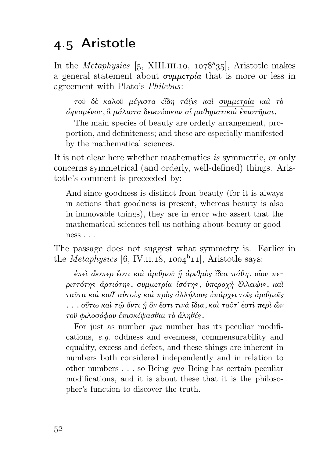#### 4.5 Aristotle

In the *Metaphysics* [5, XIII.III.10,  $1078^{\circ}35$ ], Aristotle makes a general statement about  $\sigma\nu\mu\sigma\rho\alpha$  that is more or less in agreement with Plato's Philebus:

τοῦ δὲ καλοῦ μέγιστα εἴδη τάξις καὶ συμμετρία καὶ τὸ ὡρισμένον, ἃ μάλιστα δεικνύουσιν αἱ μαθηματικαὶ ἐπιστῆμαι.

The main species of beauty are orderly arrangement, proportion, and definiteness; and these are especially manifested by the mathematical sciences.

It is not clear here whether mathematics is symmetric, or only concerns symmetrical (and orderly, well-defined) things. Aristotle's comment is preceeded by:

And since goodness is distinct from beauty (for it is always in actions that goodness is present, whereas beauty is also in immovable things), they are in error who assert that the mathematical sciences tell us nothing about beauty or goodness . . .

The passage does not suggest what symmetry is. Earlier in the *Metaphysics* [6, IV.II.18,  $1004^b11$ ], Aristotle says:

ἐπεὶ ὥσπερ ἔστι καὶ ἀριθμοῦ ᾕ ἀριθμὸς ἴδια πάθη, οἵον περιττότης ἀρτιότης, συμμετρία ἰσότης, ὑπεροχὴ ἔλλειψις, καὶ ταῦτα καὶ καθ´ αὑτοὺς καὶ πρὸς ἀλλήλους ὑπάρχει τοῖς ἀριθμοῖς . . . οὕτω καὶ τῷ ὄντι ᾗ ὂν ἔστι τινὰ ἴδια, καὶ ταῦτ' ἐστὶ περὶ ὧν τοῦ φιλοσόφου ἐπισκέψασθαι τὸ ἀληθές.

For just as number *qua* number has its peculiar modifications, e.g. oddness and evenness, commensurability and equality, excess and defect, and these things are inherent in numbers both considered independently and in relation to other numbers . . . so Being qua Being has certain peculiar modifications, and it is about these that it is the philosopher's function to discover the truth.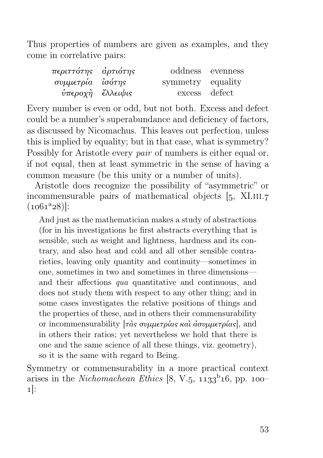Thus properties of numbers are given as examples, and they come in correlative pairs:

| περιττότης ἀρτιότης                |                   | oddness evenness |
|------------------------------------|-------------------|------------------|
| συμμετρία ἰσότης                   | symmetry equality |                  |
| <i>ύπεροχὴ <sup>2</sup>λλειψις</i> | excess defect     |                  |

Every number is even or odd, but not both. Excess and defect could be a number's superabundance and deficiency of factors, as discussed by Nicomachus. This leaves out perfection, unless this is implied by equality; but in that case, what is symmetry? Possibly for Aristotle every *pair* of numbers is either equal or, if not equal, then at least symmetric in the sense of having a common measure (be this unity or a number of units).

Aristotle does recognize the possibility of "asymmetric" or incommensurable pairs of mathematical objects  $[5, X1.III.7]$  $(1061<sup>a</sup>28)$ :

And just as the mathematician makes a study of abstractions (for in his investigations he first abstracts everything that is sensible, such as weight and lightness, hardness and its contrary, and also heat and cold and all other sensible contrarieties, leaving only quantity and continuity—sometimes in one, sometimes in two and sometimes in three dimensions and their affections qua quantitative and continuous, and does not study them with respect to any other thing; and in some cases investigates the relative positions of things and the properties of these, and in others their commensurability or incommensurability  $[\tau \dot{\alpha} s \sigma \nu \mu \nu \epsilon \tau \rho \dot{\alpha} s \kappa \dot{\alpha} \dot{\alpha} \sigma \nu \mu \nu \epsilon \tau \rho \dot{\alpha} s]$ , and in others their ratios; yet nevertheless we hold that there is one and the same science of all these things, viz. geometry), so it is the same with regard to Being.

Symmetry or commensurability in a more practical context arises in the *Nichomachean Ethics* [8, V.5,  $1133^{b}16$ , pp.  $100 1$ :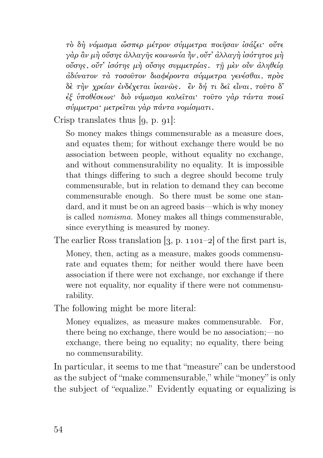τὸ δὴ νόμισμα ὥσπερ μέτρον σύμμετρα ποιῆσαν ἰσάζει· οὔτε γὰρ ἂν μὴ οὔσης ἀλλαγῆς κοινωνία ἦν, οὔτ' ἀλλαγὴ ἰσότητος μὴ οὔσης, οὔτ' ἰσότης μὴ οὔσης συμμετρίας. τῇ μὲν οὖν ἀληθείᾳ ἀδύνατον τὰ τοσοῦτον διαφέροντα σύμμετρα γενέσθαι, πρὸς δὲ τὴν χρείαν ἐνδέχεται ἱκανῶς. ἒν δή τι δεῖ εἶναι, τοῦτο δ' ἐξ ὑποθέσεως· διὸ νόμισμα καλεῖται· τοῦτο γὰρ τάντα ποιεῖ σύμμετρα· μετρεῖται γὰρ πάντα νομίσματι.

Crisp translates thus  $[g, p, q_1]$ :

So money makes things commensurable as a measure does, and equates them; for without exchange there would be no association between people, without equality no exchange, and without commensurability no equality. It is impossible that things differing to such a degree should become truly commensurable, but in relation to demand they can become commensurable enough. So there must be some one standard, and it must be on an agreed basis—which is why money is called nomisma. Money makes all things commensurable, since everything is measured by money.

The earlier Ross translation  $[3, p. 1101-2]$  of the first part is,

Money, then, acting as a measure, makes goods commensurate and equates them; for neither would there have been association if there were not exchange, nor exchange if there were not equality, nor equality if there were not commensurability.

The following might be more literal:

Money equalizes, as measure makes commensurable. For, there being no exchange, there would be no association;—no exchange, there being no equality; no equality, there being no commensurability.

In particular, it seems to me that "measure" can be understood as the subject of "make commensurable," while "money" is only the subject of "equalize." Evidently equating or equalizing is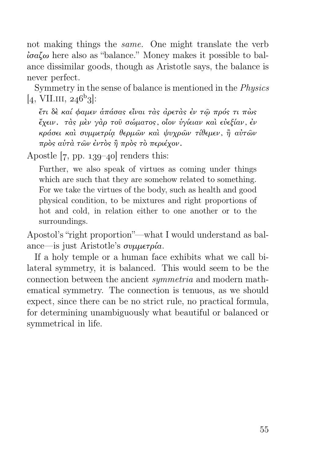not making things the same. One might translate the verb ἰσαζω here also as "balance." Money makes it possible to balance dissimilar goods, though as Aristotle says, the balance is never perfect.

Symmetry in the sense of balance is mentioned in the Physics  $[4, VIII.III, 246^b3]$ :

ἔτι δὲ καί φαμεν ἁπάσας εἶναι τὰς ἀρετὰς ἐν τῷ πρός τι πὼς ἔχειν. τὰς μὲν γὰρ τοῦ σώματος, οἷον ὑγίειαν καὶ εὐεξίαν, ἐν κράσει καὶ συμμετρίᾳ θερμῶν καὶ ψυχρῶν τίθεμεν, ἢ αὐτῶν πρὸς αὑτὰ τῶν ἐντὸς ἢ πρὸς τὸ περιέχον.

Apostle  $[7, pp. 139-40]$  renders this:

Further, we also speak of virtues as coming under things which are such that they are somehow related to something. For we take the virtues of the body, such as health and good physical condition, to be mixtures and right proportions of hot and cold, in relation either to one another or to the surroundings.

Apostol's "right proportion"—what I would understand as balance—is just Aristotle's συμμετρία.

If a holy temple or a human face exhibits what we call bilateral symmetry, it is balanced. This would seem to be the connection between the ancient symmetria and modern mathematical symmetry. The connection is tenuous, as we should expect, since there can be no strict rule, no practical formula, for determining unambiguously what beautiful or balanced or symmetrical in life.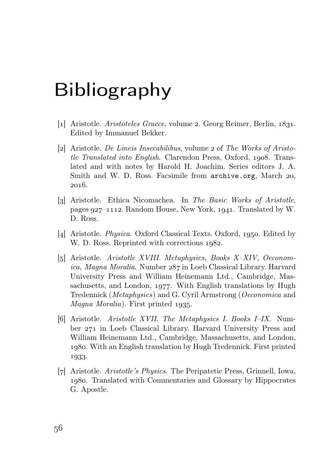### Bibliography

- [1] Aristotle. Aristoteles Graece, volume 2. Georg Reimer, Berlin,  $1831$ . Edited by Immanuel Bekker.
- [2] Aristotle. De Lineis Insecabilibus, volume 2 of The Works of Aristotle Translated into English. Clarendon Press, Oxford, 1908. Translated and with notes by Harold H. Joachim. Series editors J. A. Smith and W. D. Ross. Facsimile from archive.org, March 20, 2016.
- [3] Aristotle. Ethica Nicomachea. In The Basic Works of Aristotle, pages  $927-1112$ . Random House, New York, 1941. Translated by W. D. Ross.
- [4] Aristotle. *Physica.* Oxford Classical Texts. Oxford, 1950. Edited by W. D. Ross. Reprinted with corrections  $1982$ .
- [] Aristotle. Aristotle XVIII. Metaphysics, Books X–XIV, Oeconomica, Magna Moralia. Number 287 in Loeb Classical Library. Harvard University Press and William Heinemann Ltd., Cambridge, Massachusetts, and London, 1977. With English translations by Hugh Tredennick (Metaphysics) and G. Cyril Armstrong (Oeconomica and  $Magna$  Moralia). First printed 1935.
- [6] Aristotle. Aristotle XVII. The Metaphysics I. Books I–IX. Number 271 in Loeb Classical Library. Harvard University Press and William Heinemann Ltd., Cambridge, Massachusetts, and London, . With an English translation by Hugh Tredennick. First printed 1933.
- [] Aristotle. Aristotle's Physics. The Peripatetic Press, Grinnell, Iowa, . Translated with Commentaries and Glossary by Hippocrates G. Apostle.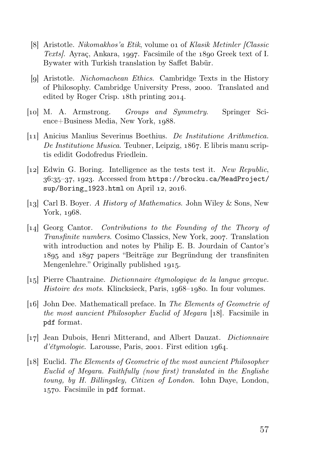- [8] Aristotle. Nikomakhos'a Etik, volume on of Klasik Metinler [Classic Texts. Ayraç, Ankara, 1997. Facsimile of the  $1890$  Greek text of I. Bywater with Turkish translation by Saffet Babür.
- [9] Aristotle. *Nichomachean Ethics*. Cambridge Texts in the History of Philosophy. Cambridge University Press, 2000. Translated and edited by Roger Crisp. 18th printing 2014.
- [] M. A. Armstrong. Groups and Symmetry. Springer Sci $ence + Business Media$ , New York,  $1088$ .
- [11] Anicius Manlius Severinus Boethius. De Institutione Arithmetica. De Institutione Musica. Teubner, Leipzig, 1867. E libris manu scriptis edidit Godofredus Friedlein.
- [12] Edwin G. Boring. Intelligence as the tests test it. New Republic, 36:35-37, 1923. Accessed from https://brocku.ca/MeadProject/ sup/Boring\_1923.html on April 12, 2016.
- [13] Carl B. Boyer. A History of Mathematics. John Wiley & Sons, New York,  $1968$ .
- [] Georg Cantor. Contributions to the Founding of the Theory of *Transfinite numbers.* Cosimo Classics, New York, 2007. Translation with introduction and notes by Philip E. B. Jourdain of Cantor's and papers "Beiträge zur Begründung der transfiniten Mengenlehre." Originally published 1915.
- [] Pierre Chantraine. Dictionnaire étymologique de la langue grecque. Histoire des mots. Klincksieck, Paris,  $1968-1980$ . In four volumes.
- [] John Dee. Mathematicall preface. In The Elements of Geometrie of the most auncient Philosopher Euclid of Megara [18]. Facsimile in pdf format.
- [17] Jean Dubois, Henri Mitterand, and Albert Dauzat. *Dictionnaire*  $d'\'etymologie$ . Larousse, Paris, 2001. First edition 1964.
- [18] Euclid. The Elements of Geometrie of the most auncient Philosopher Euclid of Megara. Faithfully (now first) translated in the Englishe toung, by H. Billingsley, Citizen of London. Iohn Daye, London, . Facsimile in pdf format.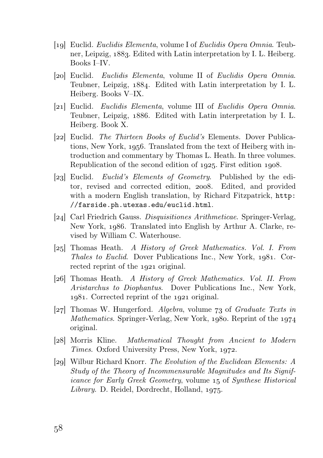- [19] Euclid. *Euclidis Elementa*, volume I of *Euclidis Opera Omnia*. Teubner, Leipzig, 1883. Edited with Latin interpretation by I. L. Heiberg. Books I–IV.
- [20] Euclid. *Euclidis Elementa*, volume II of *Euclidis Opera Omnia*. Teubner, Leipzig,  $1884$ . Edited with Latin interpretation by I. L. Heiberg. Books V–IX.
- [21] Euclid. Euclidis Elementa, volume III of Euclidis Opera Omnia. Teubner, Leipzig,  $1886$ . Edited with Latin interpretation by I. L. Heiberg. Book X.
- [22] Euclid. The Thirteen Books of Euclid's Elements. Dover Publications, New York, 1956. Translated from the text of Heiberg with introduction and commentary by Thomas L. Heath. In three volumes. Republication of the second edition of 1925. First edition 1908.
- [23] Euclid. Euclid's Elements of Geometry. Published by the editor, revised and corrected edition, 2008. Edited, and provided with a modern English translation, by Richard Fitzpatrick, http: //farside.ph.utexas.edu/euclid.html.
- [24] Carl Friedrich Gauss. Disquisitiones Arithmeticae. Springer-Verlag, New York, 1986. Translated into English by Arthur A. Clarke, revised by William C. Waterhouse.
- [25] Thomas Heath. A History of Greek Mathematics. Vol. I. From Thales to Euclid. Dover Publications Inc., New York, 1981. Corrected reprint of the 1921 original.
- [26] Thomas Heath. A History of Greek Mathematics. Vol. II. From Aristarchus to Diophantus. Dover Publications Inc., New York, 1981. Corrected reprint of the 1921 original.
- $[27]$  Thomas W. Hungerford. Algebra, volume 73 of Graduate Texts in  $Mathematics. Springer-Verlag, New York, 1980. Reprint of the 1974$ original.
- [28] Morris Kline. Mathematical Thought from Ancient to Modern Times. Oxford University Press, New York, 1972.
- [29] Wilbur Richard Knorr. The Evolution of the Euclidean Elements: A Study of the Theory of Incommensurable Magnitudes and Its Significance for Early Greek Geometry, volume 15 of Synthese Historical  $Library.$  D. Reidel, Dordrecht, Holland, 1975.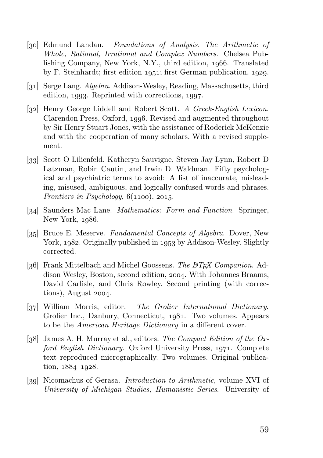- [30] Edmund Landau. Foundations of Analysis. The Arithmetic of Whole, Rational, Irrational and Complex Numbers. Chelsea Publishing Company, New York, N.Y., third edition, 1966. Translated by F. Steinhardt; first edition  $1951$ ; first German publication,  $1929$ .
- [31] Serge Lang. *Algebra*. Addison-Wesley, Reading, Massachusetts, third edition,  $1993$ . Reprinted with corrections,  $1997$ .
- [32] Henry George Liddell and Robert Scott. A Greek-English Lexicon. Clarendon Press, Oxford, 1996. Revised and augmented throughout by Sir Henry Stuart Jones, with the assistance of Roderick McKenzie and with the cooperation of many scholars. With a revised supplement.
- [33] Scott O Lilienfeld, Katheryn Sauvigne, Steven Jay Lynn, Robert D Latzman, Robin Cautin, and Irwin D. Waldman. Fifty psychological and psychiatric terms to avoid: A list of inaccurate, misleading, misused, ambiguous, and logically confused words and phrases. Frontiers in Psychology,  $6(1100)$ , 2015.
- [34] Saunders Mac Lane. *Mathematics: Form and Function*. Springer, New York,  $1986$ .
- [35] Bruce E. Meserve. Fundamental Concepts of Algebra. Dover, New York, 1982. Originally published in 1953 by Addison-Wesley. Slightly corrected.
- [36] Frank Mittelbach and Michel Goossens. The LATEX Companion. Addison Wesley, Boston, second edition, 2004. With Johannes Braams, David Carlisle, and Chris Rowley. Second printing (with correc $tions$ , August 2004.
- [37] William Morris, editor. The Grolier International Dictionary. Grolier Inc., Danbury, Connecticut, 1981. Two volumes. Appears to be the American Heritage Dictionary in a different cover.
- [ $38$ ] James A. H. Murray et al., editors. The Compact Edition of the Oxford English Dictionary. Oxford University Press, 1971. Complete text reproduced micrographically. Two volumes. Original publication,  $1884 - 1928$ .
- [39] Nicomachus of Gerasa. *Introduction to Arithmetic*, volume XVI of University of Michigan Studies, Humanistic Series. University of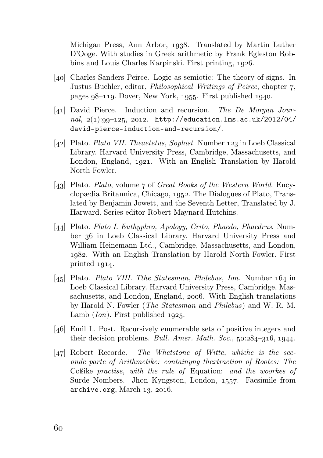Michigan Press, Ann Arbor, 1938. Translated by Martin Luther D'Ooge. With studies in Greek arithmetic by Frank Egleston Robbins and Louis Charles Karpinski. First printing, 1926.

- [40] Charles Sanders Peirce. Logic as semiotic: The theory of signs. In Justus Buchler, editor, *Philosophical Writings of Peirce*, chapter 7. pages  $98-119$ . Dover, New York, 1955. First published 1940.
- $\lceil 41 \rceil$  David Pierce. Induction and recursion. The De Morgan Journal,  $2(1):99-125$ , 2012. http://education.lms.ac.uk/2012/04/ david-pierce-induction-and-recursion/.
- [42] Plato. Plato VII. Theaetetus, Sophist. Number  $123$  in Loeb Classical Library. Harvard University Press, Cambridge, Massachusetts, and London, England, 1921. With an English Translation by Harold North Fowler.
- [43] Plato. Plato, volume  $\tau$  of Great Books of the Western World. Encyclopædia Britannica, Chicago, 1952. The Dialogues of Plato, Translated by Benjamin Jowett, and the Seventh Letter, Translated by J. Harward. Series editor Robert Maynard Hutchins.
- [44] Plato. Plato I. Euthyphro, Apology, Crito, Phaedo, Phaedrus. Number 36 in Loeb Classical Library. Harvard University Press and William Heinemann Ltd., Cambridge, Massachusetts, and London, . With an English Translation by Harold North Fowler. First printed  $1914$ .
- [45] Plato. Plato VIII. The Statesman, Philebus, Ion. Number  $164$  in Loeb Classical Library. Harvard University Press, Cambridge, Massachusetts, and London, England, 2006. With English translations by Harold N. Fowler (The Statesman and Philebus) and W. R. M. Lamb  $(Ion)$ . First published 1925.
- [46] Emil L. Post. Recursively enumerable sets of positive integers and their decision problems. Bull. Amer. Math. Soc.,  $50:284-316$ ,  $1944$ .
- $\lbrack 47\rbrack$  Robert Recorde. The Whetstone of Witte, whiche is the seconde parte of Arithmetike: containyng thextraction of Rootes: The Coßike practise, with the rule of Equation: and the woorkes of Surde Nombers. Jhon Kyngston, London, 1557. Facsimile from  $archive.org$ , March  $13$ , 2016.